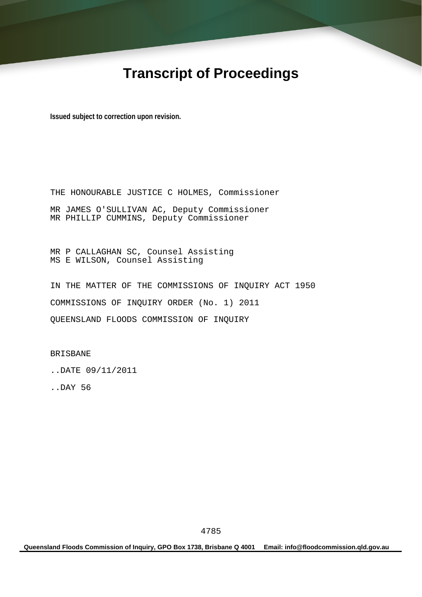# **Transcript of Proceedings**

**Issued subject to correction upon revision.** 

THE HONOURABLE JUSTICE C HOLMES, Commissioner MR JAMES O'SULLIVAN AC, Deputy Commissioner MR PHILLIP CUMMINS, Deputy Commissioner

MR P CALLAGHAN SC, Counsel Assisting MS E WILSON, Counsel Assisting

IN THE MATTER OF THE COMMISSIONS OF INQUIRY ACT 1950 COMMISSIONS OF INQUIRY ORDER (No. 1) 2011 QUEENSLAND FLOODS COMMISSION OF INQUIRY

BRISBANE

..DATE 09/11/2011

..DAY 56

**Queensland Floods Commission of Inquiry, GPO Box 1738, Brisbane Q 4001 Email: info@floodcommission.qld.gov.au**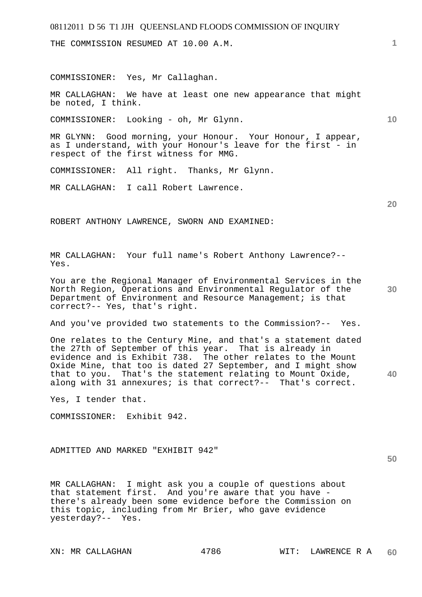THE COMMISSION RESUMED AT 10.00 A.M.

COMMISSIONER: Yes, Mr Callaghan.

MR CALLAGHAN: We have at least one new appearance that might be noted, I think.

COMMISSIONER: Looking - oh, Mr Glynn.

MR GLYNN: Good morning, your Honour. Your Honour, I appear, as I understand, with your Honour's leave for the first - in respect of the first witness for MMG.

COMMISSIONER: All right. Thanks, Mr Glynn.

MR CALLAGHAN: I call Robert Lawrence.

**20** 

**30** 

**40** 

**10** 

ROBERT ANTHONY LAWRENCE, SWORN AND EXAMINED:

MR CALLAGHAN: Your full name's Robert Anthony Lawrence?-- Yes.

You are the Regional Manager of Environmental Services in the North Region, Operations and Environmental Regulator of the Department of Environment and Resource Management; is that correct?-- Yes, that's right.

And you've provided two statements to the Commission?-- Yes.

One relates to the Century Mine, and that's a statement dated the 27th of September of this year. That is already in evidence and is Exhibit 738. The other relates to the Mount Oxide Mine, that too is dated 27 September, and I might show that to you. That's the statement relating to Mount Oxide, along with 31 annexures; is that correct?-- That's correct.

Yes, I tender that.

COMMISSIONER: Exhibit 942.

ADMITTED AND MARKED "EXHIBIT 942"

MR CALLAGHAN: I might ask you a couple of questions about that statement first. And you're aware that you have there's already been some evidence before the Commission on this topic, including from Mr Brier, who gave evidence yesterday?-- Yes.

**1**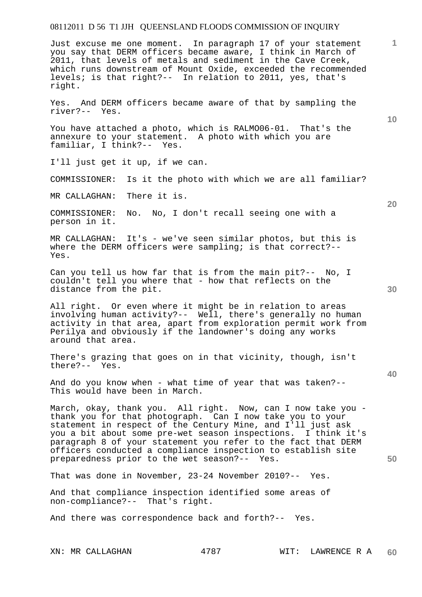**1 10 20 30 40 50**  Just excuse me one moment. In paragraph 17 of your statement you say that DERM officers became aware, I think in March of 2011, that levels of metals and sediment in the Cave Creek, which runs downstream of Mount Oxide, exceeded the recommended levels; is that right?-- In relation to 2011, yes, that's right. Yes. And DERM officers became aware of that by sampling the river?-- Yes. You have attached a photo, which is RALMO06-01. That's the annexure to your statement. A photo with which you are familiar, I think?-- Yes. I'll just get it up, if we can. COMMISSIONER: Is it the photo with which we are all familiar? MR CALLAGHAN: There it is. COMMISSIONER: No. No, I don't recall seeing one with a person in it. MR CALLAGHAN: It's - we've seen similar photos, but this is where the DERM officers were sampling; is that correct?-- Yes. Can you tell us how far that is from the main pit?-- No, I couldn't tell you where that - how that reflects on the distance from the pit. All right. Or even where it might be in relation to areas involving human activity?-- Well, there's generally no human activity in that area, apart from exploration permit work from Perilya and obviously if the landowner's doing any works around that area. There's grazing that goes on in that vicinity, though, isn't there?-- Yes. And do you know when - what time of year that was taken?-- This would have been in March. March, okay, thank you. All right. Now, can I now take you thank you for that photograph. Can I now take you to your statement in respect of the Century Mine, and I'll just ask you a bit about some pre-wet season inspections. I think it's paragraph 8 of your statement you refer to the fact that DERM officers conducted a compliance inspection to establish site preparedness prior to the wet season?-- Yes. That was done in November, 23-24 November 2010?-- Yes. And that compliance inspection identified some areas of non-compliance?-- That's right. And there was correspondence back and forth?-- Yes.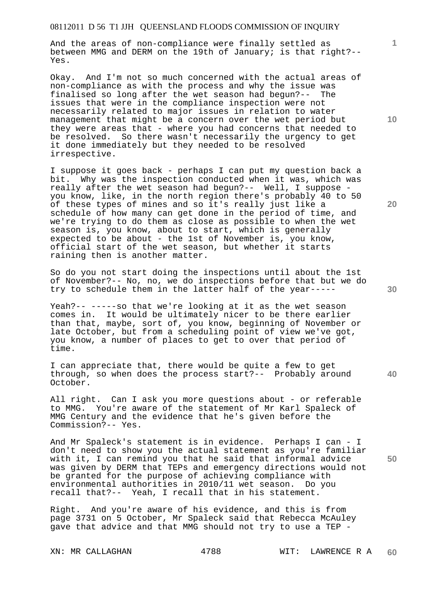And the areas of non-compliance were finally settled as between MMG and DERM on the 19th of January; is that right?-- Yes.

Okay. And I'm not so much concerned with the actual areas of non-compliance as with the process and why the issue was finalised so long after the wet season had begun?-- The issues that were in the compliance inspection were not necessarily related to major issues in relation to water management that might be a concern over the wet period but they were areas that - where you had concerns that needed to be resolved. So there wasn't necessarily the urgency to get it done immediately but they needed to be resolved irrespective.

I suppose it goes back - perhaps I can put my question back a bit. Why was the inspection conducted when it was, which was really after the wet season had begun?-- Well, I suppose you know, like, in the north region there's probably 40 to 50 of these types of mines and so it's really just like a schedule of how many can get done in the period of time, and we're trying to do them as close as possible to when the wet season is, you know, about to start, which is generally expected to be about - the 1st of November is, you know, official start of the wet season, but whether it starts raining then is another matter.

So do you not start doing the inspections until about the 1st of November?-- No, no, we do inspections before that but we do try to schedule them in the latter half of the year-----

Yeah?-- -----so that we're looking at it as the wet season comes in. It would be ultimately nicer to be there earlier than that, maybe, sort of, you know, beginning of November or late October, but from a scheduling point of view we've got, you know, a number of places to get to over that period of time.

I can appreciate that, there would be quite a few to get through, so when does the process start?-- Probably around October.

All right. Can I ask you more questions about - or referable to MMG. You're aware of the statement of Mr Karl Spaleck of MMG Century and the evidence that he's given before the Commission?-- Yes.

And Mr Spaleck's statement is in evidence. Perhaps I can - I don't need to show you the actual statement as you're familiar with it, I can remind you that he said that informal advice was given by DERM that TEPs and emergency directions would not be granted for the purpose of achieving compliance with environmental authorities in 2010/11 wet season. Do you recall that?-- Yeah, I recall that in his statement.

Right. And you're aware of his evidence, and this is from page 3731 on 5 October, Mr Spaleck said that Rebecca McAuley gave that advice and that MMG should not try to use a TEP -

**10** 

**1**

**20** 

**30** 

**40**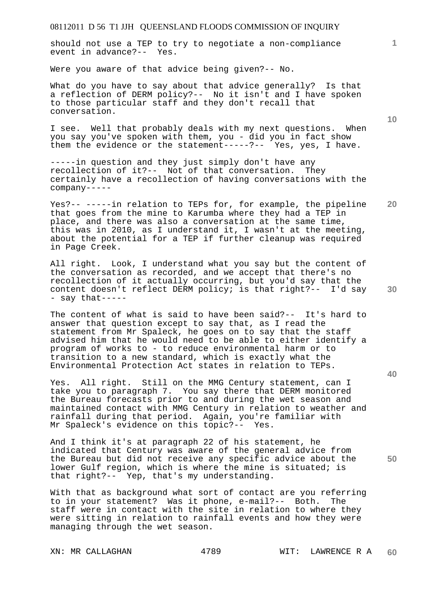should not use a TEP to try to negotiate a non-compliance event in advance?-- Yes.

Were you aware of that advice being given?-- No.

What do you have to say about that advice generally? Is that a reflection of DERM policy?-- No it isn't and I have spoken to those particular staff and they don't recall that conversation.

I see. Well that probably deals with my next questions. When you say you've spoken with them, you - did you in fact show them the evidence or the statement-----?-- Yes, yes, I have.

-----in question and they just simply don't have any recollection of it?-- Not of that conversation. They certainly have a recollection of having conversations with the company-----

**20**  Yes?-- -----in relation to TEPs for, for example, the pipeline that goes from the mine to Karumba where they had a TEP in place, and there was also a conversation at the same time, this was in 2010, as I understand it, I wasn't at the meeting, about the potential for a TEP if further cleanup was required in Page Creek.

All right. Look, I understand what you say but the content of the conversation as recorded, and we accept that there's no recollection of it actually occurring, but you'd say that the content doesn't reflect DERM policy; is that right?-- I'd say - say that-----

The content of what is said to have been said?-- It's hard to answer that question except to say that, as I read the statement from Mr Spaleck, he goes on to say that the staff advised him that he would need to be able to either identify a program of works to - to reduce environmental harm or to transition to a new standard, which is exactly what the Environmental Protection Act states in relation to TEPs.

Yes. All right. Still on the MMG Century statement, can I take you to paragraph 7. You say there that DERM monitored the Bureau forecasts prior to and during the wet season and maintained contact with MMG Century in relation to weather and rainfall during that period. Again, you're familiar with Mr Spaleck's evidence on this topic?-- Yes.

And I think it's at paragraph 22 of his statement, he indicated that Century was aware of the general advice from the Bureau but did not receive any specific advice about the lower Gulf region, which is where the mine is situated; is that right?-- Yep, that's my understanding.

With that as background what sort of contact are you referring to in your statement? Was it phone, e-mail?-- Both. The staff were in contact with the site in relation to where they were sitting in relation to rainfall events and how they were managing through the wet season.

**1**

**40** 

**50**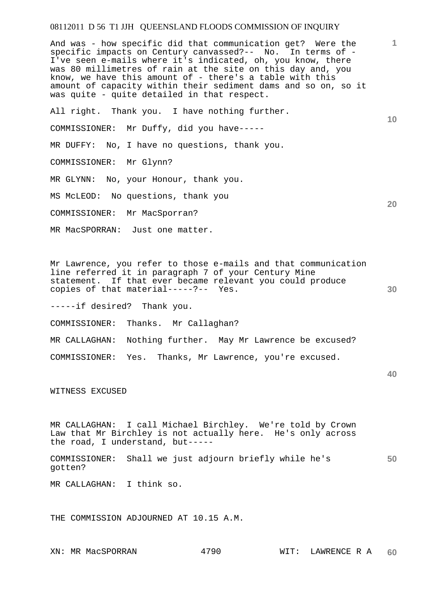And was - how specific did that communication get? Were the specific impacts on Century canvassed?-- No. In terms of - I've seen e-mails where it's indicated, oh, you know, there was 80 millimetres of rain at the site on this day and, you know, we have this amount of - there's a table with this amount of capacity within their sediment dams and so on, so it was quite - quite detailed in that respect.

All right. Thank you. I have nothing further.

COMMISSIONER: Mr Duffy, did you have-----

MR DUFFY: No, I have no questions, thank you.

COMMISSIONER: Mr Glynn?

MR GLYNN: No, your Honour, thank you.

MS McLEOD: No questions, thank you

COMMISSIONER: Mr MacSporran?

MR MacSPORRAN: Just one matter.

Mr Lawrence, you refer to those e-mails and that communication line referred it in paragraph 7 of your Century Mine statement. If that ever became relevant you could produce copies of that material-----?-- Yes.

-----if desired? Thank you.

COMMISSIONER: Thanks. Mr Callaghan?

MR CALLAGHAN: Nothing further. May Mr Lawrence be excused?

COMMISSIONER: Yes. Thanks, Mr Lawrence, you're excused.

WITNESS EXCUSED

MR CALLAGHAN: I call Michael Birchley. We're told by Crown Law that Mr Birchley is not actually here. He's only across the road, I understand, but-----

**50**  COMMISSIONER: Shall we just adjourn briefly while he's gotten?

MR CALLAGHAN: I think so.

THE COMMISSION ADJOURNED AT 10.15 A.M.

**1**

**10** 

**20** 

**30**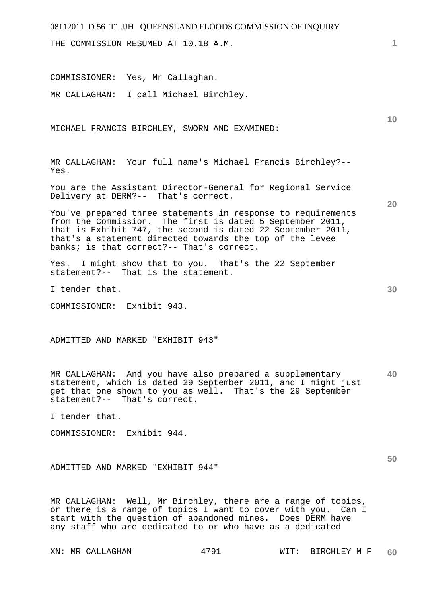THE COMMISSION RESUMED AT 10.18 A.M.

COMMISSIONER: Yes, Mr Callaghan.

MR CALLAGHAN: I call Michael Birchley.

MICHAEL FRANCIS BIRCHLEY, SWORN AND EXAMINED:

MR CALLAGHAN: Your full name's Michael Francis Birchley?-- Yes.

You are the Assistant Director-General for Regional Service Delivery at DERM?-- That's correct.

You've prepared three statements in response to requirements from the Commission. The first is dated 5 September 2011, that is Exhibit 747, the second is dated 22 September 2011, that's a statement directed towards the top of the levee banks; is that correct?-- That's correct.

Yes. I might show that to you. That's the 22 September statement?-- That is the statement.

I tender that.

COMMISSIONER: Exhibit 943.

ADMITTED AND MARKED "EXHIBIT 943"

**40**  MR CALLAGHAN: And you have also prepared a supplementary statement, which is dated 29 September 2011, and I might just get that one shown to you as well. That's the 29 September statement?-- That's correct.

I tender that.

COMMISSIONER: Exhibit 944.

ADMITTED AND MARKED "EXHIBIT 944"

MR CALLAGHAN: Well, Mr Birchley, there are a range of topics, or there is a range of topics I want to cover with you. Can I start with the question of abandoned mines. Does DERM have any staff who are dedicated to or who have as a dedicated

**10** 

**20** 

**1**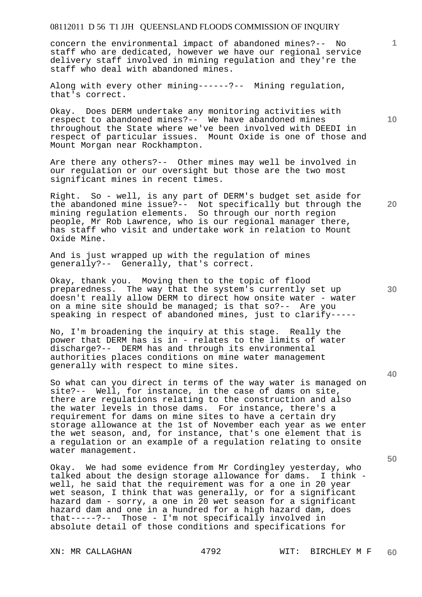concern the environmental impact of abandoned mines?-- No staff who are dedicated, however we have our regional service delivery staff involved in mining regulation and they're the staff who deal with abandoned mines.

Along with every other mining------?-- Mining regulation, that's correct.

Okay. Does DERM undertake any monitoring activities with respect to abandoned mines?-- We have abandoned mines throughout the State where we've been involved with DEEDI in respect of particular issues. Mount Oxide is one of those and Mount Morgan near Rockhampton.

Are there any others?-- Other mines may well be involved in our regulation or our oversight but those are the two most significant mines in recent times.

Right. So - well, is any part of DERM's budget set aside for the abandoned mine issue?-- Not specifically but through the mining regulation elements. So through our north region people, Mr Rob Lawrence, who is our regional manager there, has staff who visit and undertake work in relation to Mount Oxide Mine.

And is just wrapped up with the regulation of mines generally?-- Generally, that's correct.

Okay, thank you. Moving then to the topic of flood preparedness. The way that the system's currently set up doesn't really allow DERM to direct how onsite water - water on a mine site should be managed; is that so?-- Are you speaking in respect of abandoned mines, just to clarify-----

No, I'm broadening the inquiry at this stage. Really the power that DERM has is in - relates to the limits of water discharge?-- DERM has and through its environmental authorities places conditions on mine water management generally with respect to mine sites.

So what can you direct in terms of the way water is managed on site?-- Well, for instance, in the case of dams on site, there are regulations relating to the construction and also the water levels in those dams. For instance, there's a requirement for dams on mine sites to have a certain dry storage allowance at the 1st of November each year as we enter the wet season, and, for instance, that's one element that is a regulation or an example of a regulation relating to onsite water management.

Okay. We had some evidence from Mr Cordingley yesterday, who talked about the design storage allowance for dams. I think well, he said that the requirement was for a one in 20 year wet season, I think that was generally, or for a significant hazard dam - sorry, a one in 20 wet season for a significant hazard dam and one in a hundred for a high hazard dam, does that-----?-- Those - I'm not specifically involved in absolute detail of those conditions and specifications for

**10** 

**1**

**30** 

**20**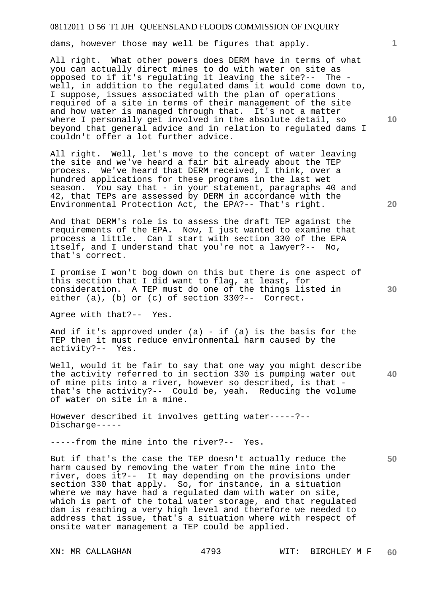dams, however those may well be figures that apply.

All right. What other powers does DERM have in terms of what you can actually direct mines to do with water on site as opposed to if it's regulating it leaving the site?-- The well, in addition to the regulated dams it would come down to, I suppose, issues associated with the plan of operations required of a site in terms of their management of the site and how water is managed through that. It's not a matter where I personally get involved in the absolute detail, so beyond that general advice and in relation to regulated dams I couldn't offer a lot further advice.

All right. Well, let's move to the concept of water leaving the site and we've heard a fair bit already about the TEP process. We've heard that DERM received, I think, over a hundred applications for these programs in the last wet season. You say that - in your statement, paragraphs 40 and 42, that TEPs are assessed by DERM in accordance with the Environmental Protection Act, the EPA?-- That's right.

And that DERM's role is to assess the draft TEP against the requirements of the EPA. Now, I just wanted to examine that process a little. Can I start with section 330 of the EPA itself, and I understand that you're not a lawyer?-- No, that's correct.

I promise I won't bog down on this but there is one aspect of this section that I did want to flag, at least, for consideration. A TEP must do one of the things listed in either (a), (b) or (c) of section 330?-- Correct.

Agree with that?-- Yes.

And if it's approved under (a) - if (a) is the basis for the TEP then it must reduce environmental harm caused by the activity?-- Yes.

Well, would it be fair to say that one way you might describe the activity referred to in section 330 is pumping water out of mine pits into a river, however so described, is that that's the activity?-- Could be, yeah. Reducing the volume of water on site in a mine.

However described it involves getting water-----?-- Discharge-----

-----from the mine into the river?-- Yes.

But if that's the case the TEP doesn't actually reduce the harm caused by removing the water from the mine into the river, does it?-- It may depending on the provisions under section 330 that apply. So, for instance, in a situation where we may have had a regulated dam with water on site, which is part of the total water storage, and that regulated dam is reaching a very high level and therefore we needed to address that issue, that's a situation where with respect of onsite water management a TEP could be applied.

**10** 

**1**

**40**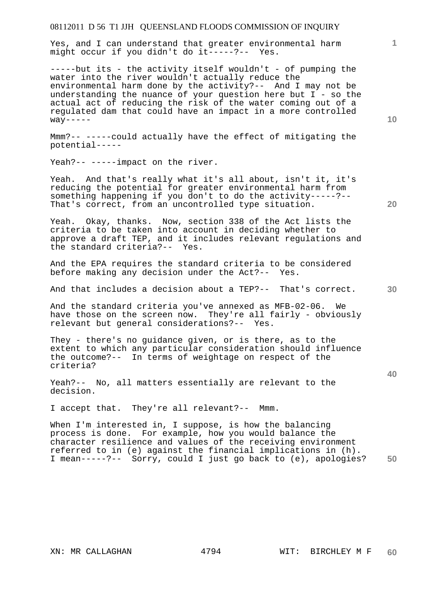Yes, and I can understand that greater environmental harm might occur if you didn't do it-----?-- Yes.

 $---$ -but its - the activity itself wouldn't - of pumping the water into the river wouldn't actually reduce the environmental harm done by the activity?-- And I may not be understanding the nuance of your question here but I - so the actual act of reducing the risk of the water coming out of a regulated dam that could have an impact in a more controlled  $way---$ 

Mmm?-- -----could actually have the effect of mitigating the potential-----

Yeah?-- -----impact on the river.

Yeah. And that's really what it's all about, isn't it, it's reducing the potential for greater environmental harm from something happening if you don't to do the activity-----?-- That's correct, from an uncontrolled type situation.

Yeah. Okay, thanks. Now, section 338 of the Act lists the criteria to be taken into account in deciding whether to approve a draft TEP, and it includes relevant regulations and the standard criteria?-- Yes.

And the EPA requires the standard criteria to be considered before making any decision under the Act?-- Yes.

And that includes a decision about a TEP?-- That's correct.

And the standard criteria you've annexed as MFB-02-06. We have those on the screen now. They're all fairly - obviously relevant but general considerations?-- Yes.

They - there's no guidance given, or is there, as to the extent to which any particular consideration should influence the outcome?-- In terms of weightage on respect of the criteria?

Yeah?-- No, all matters essentially are relevant to the decision.

I accept that. They're all relevant?-- Mmm.

**50**  When I'm interested in, I suppose, is how the balancing process is done. For example, how you would balance the character resilience and values of the receiving environment referred to in (e) against the financial implications in (h). I mean-----?-- Sorry, could I just go back to (e), apologies?

**10** 

**1**

**30** 

**20**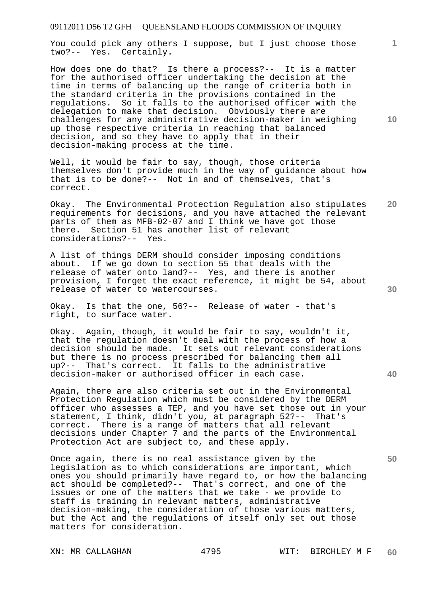You could pick any others I suppose, but I just choose those two?-- Yes. Certainly.

How does one do that? Is there a process?-- It is a matter for the authorised officer undertaking the decision at the time in terms of balancing up the range of criteria both in the standard criteria in the provisions contained in the regulations. So it falls to the authorised officer with the delegation to make that decision. Obviously there are challenges for any administrative decision-maker in weighing up those respective criteria in reaching that balanced decision, and so they have to apply that in their decision-making process at the time.

Well, it would be fair to say, though, those criteria themselves don't provide much in the way of guidance about how that is to be done?-- Not in and of themselves, that's correct.

**20**  Okay. The Environmental Protection Regulation also stipulates requirements for decisions, and you have attached the relevant parts of them as MFB-02-07 and I think we have got those there. Section 51 has another list of relevant considerations?-- Yes.

A list of things DERM should consider imposing conditions about. If we go down to section 55 that deals with the release of water onto land?-- Yes, and there is another provision, I forget the exact reference, it might be 54, about release of water to watercourses.

Okay. Is that the one, 56?-- Release of water - that's right, to surface water.

Okay. Again, though, it would be fair to say, wouldn't it, that the regulation doesn't deal with the process of how a decision should be made. It sets out relevant considerations but there is no process prescribed for balancing them all up?-- That's correct. It falls to the administrative decision-maker or authorised officer in each case.

Again, there are also criteria set out in the Environmental Protection Regulation which must be considered by the DERM officer who assesses a TEP, and you have set those out in your statement, I think, didn't you, at paragraph 52?-- That's correct. There is a range of matters that all relevant decisions under Chapter 7 and the parts of the Environmental Protection Act are subject to, and these apply.

Once again, there is no real assistance given by the legislation as to which considerations are important, which ones you should primarily have regard to, or how the balancing act should be completed?-- That's correct, and one of the issues or one of the matters that we take - we provide to staff is training in relevant matters, administrative decision-making, the consideration of those various matters, but the Act and the regulations of itself only set out those matters for consideration.

**10** 

**1**

**30** 

**40**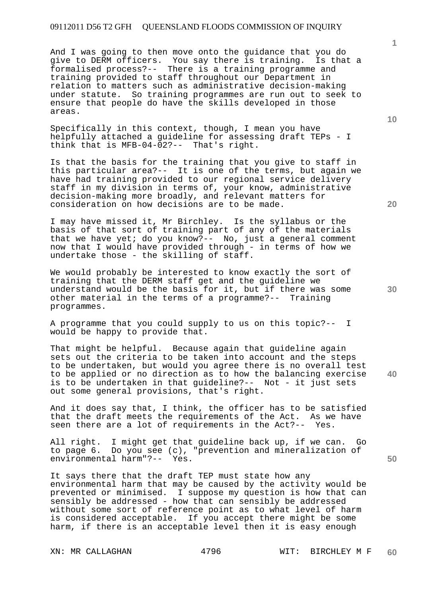And I was going to then move onto the guidance that you do give to DERM officers. You say there is training. Is that a formalised process?-- There is a training programme and training provided to staff throughout our Department in relation to matters such as administrative decision-making under statute. So training programmes are run out to seek to ensure that people do have the skills developed in those areas.

Specifically in this context, though, I mean you have helpfully attached a guideline for assessing draft TEPs - I think that is MFB-04-02?-- That's right.

Is that the basis for the training that you give to staff in this particular area?-- It is one of the terms, but again we have had training provided to our regional service delivery staff in my division in terms of, your know, administrative decision-making more broadly, and relevant matters for consideration on how decisions are to be made.

I may have missed it, Mr Birchley. Is the syllabus or the basis of that sort of training part of any of the materials that we have yet; do you know?-- No, just a general comment now that I would have provided through - in terms of how we undertake those - the skilling of staff.

We would probably be interested to know exactly the sort of training that the DERM staff get and the guideline we understand would be the basis for it, but if there was some other material in the terms of a programme?-- Training programmes.

A programme that you could supply to us on this topic?-- I would be happy to provide that.

That might be helpful. Because again that guideline again sets out the criteria to be taken into account and the steps to be undertaken, but would you agree there is no overall test to be applied or no direction as to how the balancing exercise is to be undertaken in that guideline?-- Not - it just sets out some general provisions, that's right.

And it does say that, I think, the officer has to be satisfied that the draft meets the requirements of the Act. As we have seen there are a lot of requirements in the Act?-- Yes.

All right. I might get that guideline back up, if we can. Go to page 6. Do you see (c), "prevention and mineralization of environmental harm"?-- Yes.

It says there that the draft TEP must state how any environmental harm that may be caused by the activity would be prevented or minimised. I suppose my question is how that can sensibly be addressed - how that can sensibly be addressed without some sort of reference point as to what level of harm is considered acceptable. If you accept there might be some harm, if there is an acceptable level then it is easy enough

**10** 

**1**

**30** 

**40**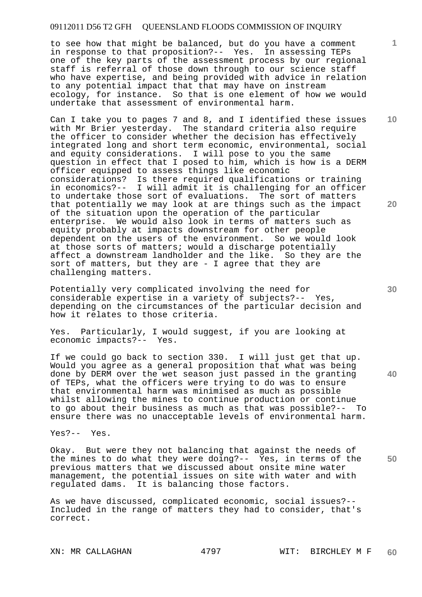to see how that might be balanced, but do you have a comment in response to that proposition?-- Yes. In assessing TEPs one of the key parts of the assessment process by our regional staff is referral of those down through to our science staff who have expertise, and being provided with advice in relation to any potential impact that that may have on instream ecology, for instance. So that is one element of how we would undertake that assessment of environmental harm.

Can I take you to pages 7 and 8, and I identified these issues with Mr Brier yesterday. The standard criteria also require the officer to consider whether the decision has effectively integrated long and short term economic, environmental, social and equity considerations. I will pose to you the same question in effect that I posed to him, which is how is a DERM officer equipped to assess things like economic considerations? Is there required qualifications or training in economics?-- I will admit it is challenging for an officer to undertake those sort of evaluations. The sort of matters that potentially we may look at are things such as the impact of the situation upon the operation of the particular enterprise. We would also look in terms of matters such as equity probably at impacts downstream for other people dependent on the users of the environment. So we would look at those sorts of matters; would a discharge potentially affect a downstream landholder and the like. So they are the sort of matters, but they are - I agree that they are challenging matters.

Potentially very complicated involving the need for considerable expertise in a variety of subjects?-- Yes, depending on the circumstances of the particular decision and how it relates to those criteria.

Yes. Particularly, I would suggest, if you are looking at economic impacts?-- Yes.

If we could go back to section 330. I will just get that up. Would you agree as a general proposition that what was being done by DERM over the wet season just passed in the granting of TEPs, what the officers were trying to do was to ensure that environmental harm was minimised as much as possible whilst allowing the mines to continue production or continue to go about their business as much as that was possible?-- To ensure there was no unacceptable levels of environmental harm.

Yes?-- Yes.

**50**  Okay. But were they not balancing that against the needs of the mines to do what they were doing?-- Yes, in terms of the previous matters that we discussed about onsite mine water management, the potential issues on site with water and with regulated dams. It is balancing those factors.

As we have discussed, complicated economic, social issues?-- Included in the range of matters they had to consider, that's correct.

**30** 

**40** 

**20** 

**10**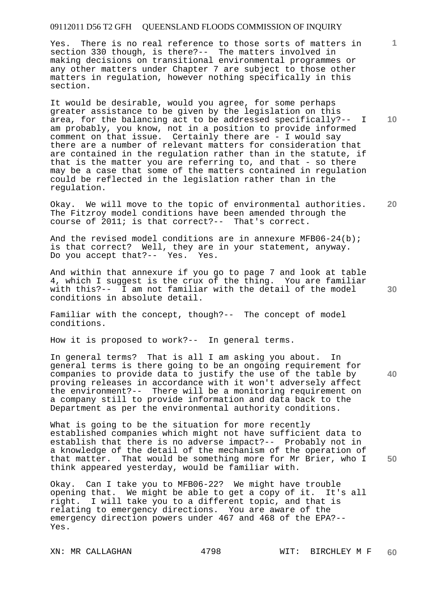Yes. There is no real reference to those sorts of matters in section 330 though, is there?-- The matters involved in making decisions on transitional environmental programmes or any other matters under Chapter 7 are subject to those other matters in regulation, however nothing specifically in this section.

It would be desirable, would you agree, for some perhaps greater assistance to be given by the legislation on this area, for the balancing act to be addressed specifically?-- I am probably, you know, not in a position to provide informed comment on that issue. Certainly there are - I would say there are a number of relevant matters for consideration that are contained in the regulation rather than in the statute, if that is the matter you are referring to, and that - so there may be a case that some of the matters contained in regulation could be reflected in the legislation rather than in the regulation.

Okay. We will move to the topic of environmental authorities. The Fitzroy model conditions have been amended through the course of 2011; is that correct?-- That's correct.

And the revised model conditions are in annexure MFB06-24(b); is that correct? Well, they are in your statement, anyway. Do you accept that?-- Yes. Yes.

And within that annexure if you go to page 7 and look at table 4, which I suggest is the crux of the thing. You are familiar with this?-- I am not familiar with the detail of the model conditions in absolute detail.

Familiar with the concept, though?-- The concept of model conditions.

How it is proposed to work?-- In general terms.

In general terms? That is all I am asking you about. In general terms is there going to be an ongoing requirement for companies to provide data to justify the use of the table by proving releases in accordance with it won't adversely affect the environment?-- There will be a monitoring requirement on a company still to provide information and data back to the Department as per the environmental authority conditions.

What is going to be the situation for more recently established companies which might not have sufficient data to establish that there is no adverse impact?-- Probably not in a knowledge of the detail of the mechanism of the operation of that matter. That would be something more for Mr Brier, who I think appeared yesterday, would be familiar with.

Okay. Can I take you to MFB06-22? We might have trouble opening that. We might be able to get a copy of it. It's all right. I will take you to a different topic, and that is relating to emergency directions. You are aware of the emergency direction powers under 467 and 468 of the EPA?-- Yes.

**10** 

**1**

**20** 

**40**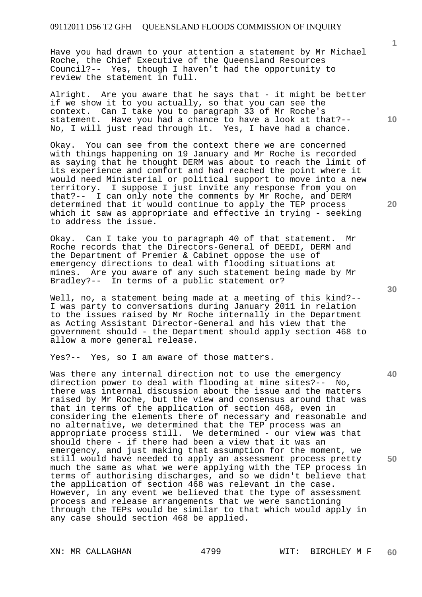Have you had drawn to your attention a statement by Mr Michael Roche, the Chief Executive of the Queensland Resources Council?-- Yes, though I haven't had the opportunity to review the statement in full.

Alright. Are you aware that he says that - it might be better if we show it to you actually, so that you can see the context. Can I take you to paragraph 33 of Mr Roche's statement. Have you had a chance to have a look at that?-- No, I will just read through it. Yes, I have had a chance.

Okay. You can see from the context there we are concerned with things happening on 19 January and Mr Roche is recorded as saying that he thought DERM was about to reach the limit of its experience and comfort and had reached the point where it would need Ministerial or political support to move into a new territory. I suppose I just invite any response from you on that?-- I can only note the comments by Mr Roche, and DERM determined that it would continue to apply the TEP process which it saw as appropriate and effective in trying - seeking to address the issue.

Okay. Can I take you to paragraph 40 of that statement. Mr Roche records that the Directors-General of DEEDI, DERM and the Department of Premier & Cabinet oppose the use of emergency directions to deal with flooding situations at mines. Are you aware of any such statement being made by Mr Bradley?-- In terms of a public statement or?

Well, no, a statement being made at a meeting of this kind?-- I was party to conversations during January 2011 in relation to the issues raised by Mr Roche internally in the Department as Acting Assistant Director-General and his view that the government should - the Department should apply section 468 to allow a more general release.

Yes?-- Yes, so I am aware of those matters.

Was there any internal direction not to use the emergency direction power to deal with flooding at mine sites?-- No, there was internal discussion about the issue and the matters raised by Mr Roche, but the view and consensus around that was that in terms of the application of section 468, even in considering the elements there of necessary and reasonable and no alternative, we determined that the TEP process was an appropriate process still. We determined - our view was that should there - if there had been a view that it was an emergency, and just making that assumption for the moment, we still would have needed to apply an assessment process pretty much the same as what we were applying with the TEP process in terms of authorising discharges, and so we didn't believe that the application of section 468 was relevant in the case. However, in any event we believed that the type of assessment process and release arrangements that we were sanctioning through the TEPs would be similar to that which would apply in any case should section 468 be applied.

**30** 

**40** 

**50** 

**20** 

**10**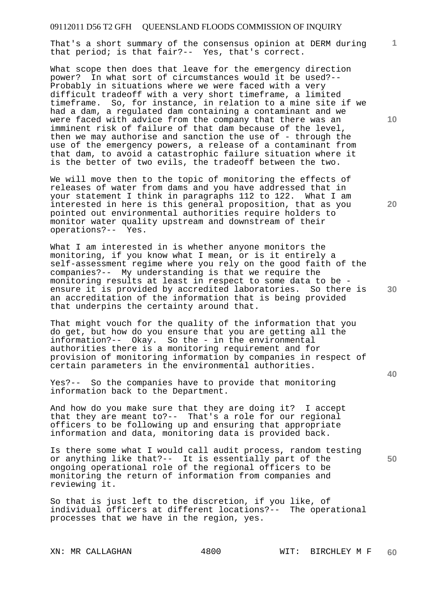That's a short summary of the consensus opinion at DERM during that period; is that fair?-- Yes, that's correct.

What scope then does that leave for the emergency direction power? In what sort of circumstances would it be used?-- Probably in situations where we were faced with a very difficult tradeoff with a very short timeframe, a limited timeframe. So, for instance, in relation to a mine site if we had a dam, a regulated dam containing a contaminant and we were faced with advice from the company that there was an imminent risk of failure of that dam because of the level, then we may authorise and sanction the use of - through the use of the emergency powers, a release of a contaminant from that dam, to avoid a catastrophic failure situation where it is the better of two evils, the tradeoff between the two.

We will move then to the topic of monitoring the effects of releases of water from dams and you have addressed that in your statement I think in paragraphs 112 to 122. What I am interested in here is this general proposition, that as you pointed out environmental authorities require holders to monitor water quality upstream and downstream of their operations?-- Yes.

What I am interested in is whether anyone monitors the monitoring, if you know what I mean, or is it entirely a self-assessment regime where you rely on the good faith of the companies?-- My understanding is that we require the monitoring results at least in respect to some data to be ensure it is provided by accredited laboratories. So there is an accreditation of the information that is being provided that underpins the certainty around that.

That might vouch for the quality of the information that you do get, but how do you ensure that you are getting all the information?-- Okay. So the - in the environmental authorities there is a monitoring requirement and for provision of monitoring information by companies in respect of certain parameters in the environmental authorities.

Yes?-- So the companies have to provide that monitoring information back to the Department.

And how do you make sure that they are doing it? I accept that they are meant to?-- That's a role for our regional officers to be following up and ensuring that appropriate information and data, monitoring data is provided back.

Is there some what I would call audit process, random testing or anything like that?-- It is essentially part of the ongoing operational role of the regional officers to be monitoring the return of information from companies and reviewing it.

So that is just left to the discretion, if you like, of individual officers at different locations?-- The operational processes that we have in the region, yes.

**10** 

**1**

**20** 

**40** 

**50**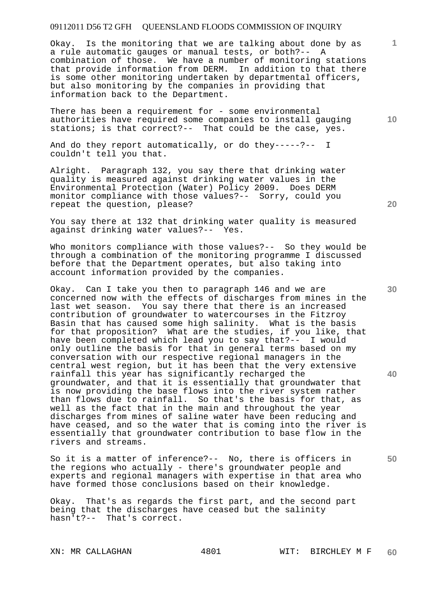Okay. Is the monitoring that we are talking about done by as a rule automatic gauges or manual tests, or both?-- A combination of those. We have a number of monitoring stations that provide information from DERM. In addition to that there is some other monitoring undertaken by departmental officers, but also monitoring by the companies in providing that information back to the Department.

There has been a requirement for - some environmental authorities have required some companies to install gauging stations; is that correct?-- That could be the case, yes.

And do they report automatically, or do they-----?-- I couldn't tell you that.

Alright. Paragraph 132, you say there that drinking water quality is measured against drinking water values in the Environmental Protection (Water) Policy 2009. Does DERM monitor compliance with those values?-- Sorry, could you repeat the question, please?

You say there at 132 that drinking water quality is measured against drinking water values?-- Yes.

Who monitors compliance with those values?-- So they would be through a combination of the monitoring programme I discussed before that the Department operates, but also taking into account information provided by the companies.

Okay. Can I take you then to paragraph 146 and we are concerned now with the effects of discharges from mines in the last wet season. You say there that there is an increased contribution of groundwater to watercourses in the Fitzroy Basin that has caused some high salinity. What is the basis for that proposition? What are the studies, if you like, that have been completed which lead you to say that?-- I would only outline the basis for that in general terms based on my conversation with our respective regional managers in the central west region, but it has been that the very extensive rainfall this year has significantly recharged the groundwater, and that it is essentially that groundwater that is now providing the base flows into the river system rather than flows due to rainfall. So that's the basis for that, as well as the fact that in the main and throughout the year discharges from mines of saline water have been reducing and have ceased, and so the water that is coming into the river is essentially that groundwater contribution to base flow in the rivers and streams.

So it is a matter of inference?-- No, there is officers in the regions who actually - there's groundwater people and experts and regional managers with expertise in that area who have formed those conclusions based on their knowledge.

Okay. That's as regards the first part, and the second part being that the discharges have ceased but the salinity hasn't?-- That's correct.

**20** 

**1**

**10** 

**30** 

**40**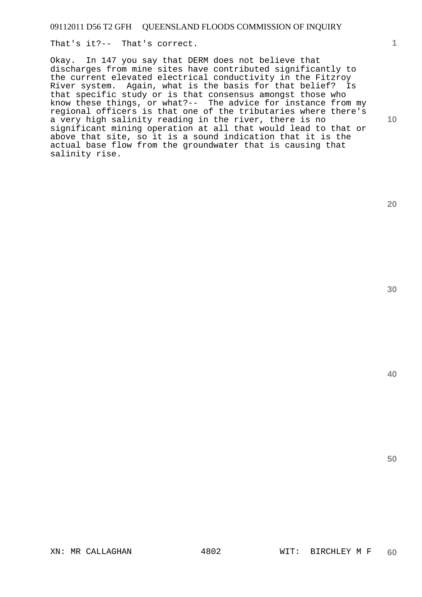That's it?-- That's correct.

Okay. In 147 you say that DERM does not believe that discharges from mine sites have contributed significantly to the current elevated electrical conductivity in the Fitzroy River system. Again, what is the basis for that belief? Is that specific study or is that consensus amongst those who know these things, or what?-- The advice for instance from my regional officers is that one of the tributaries where there's a very high salinity reading in the river, there is no significant mining operation at all that would lead to that or above that site, so it is a sound indication that it is the actual base flow from the groundwater that is causing that salinity rise.

**20** 

**10** 

**1**

**30**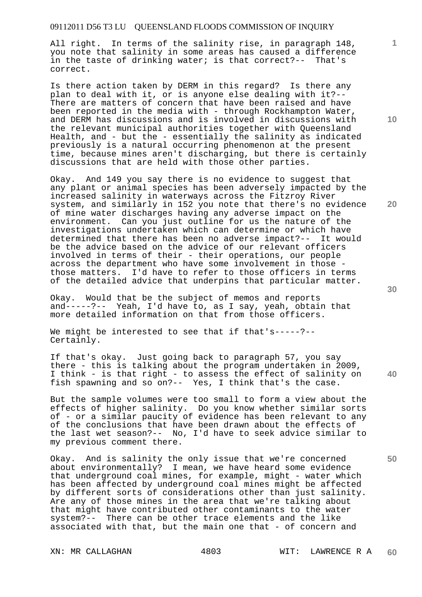All right. In terms of the salinity rise, in paragraph 148, you note that salinity in some areas has caused a difference in the taste of drinking water; is that correct?-- That's correct.

Is there action taken by DERM in this regard? Is there any plan to deal with it, or is anyone else dealing with it?-- There are matters of concern that have been raised and have been reported in the media with - through Rockhampton Water, and DERM has discussions and is involved in discussions with the relevant municipal authorities together with Queensland Health, and - but the - essentially the salinity as indicated previously is a natural occurring phenomenon at the present time, because mines aren't discharging, but there is certainly discussions that are held with those other parties.

Okay. And 149 you say there is no evidence to suggest that any plant or animal species has been adversely impacted by the increased salinity in waterways across the Fitzroy River system, and similarly in 152 you note that there's no evidence of mine water discharges having any adverse impact on the environment. Can you just outline for us the nature of the investigations undertaken which can determine or which have determined that there has been no adverse impact?-- It would be the advice based on the advice of our relevant officers involved in terms of their - their operations, our people across the department who have some involvement in those those matters. I'd have to refer to those officers in terms of the detailed advice that underpins that particular matter.

Okay. Would that be the subject of memos and reports and-----?-- Yeah, I'd have to, as I say, yeah, obtain that more detailed information on that from those officers.

We might be interested to see that if that's-----?--Certainly.

**40**  If that's okay. Just going back to paragraph 57, you say there - this is talking about the program undertaken in 2009, I think - is that right - to assess the effect of salinity on fish spawning and so on?-- Yes, I think that's the case.

But the sample volumes were too small to form a view about the effects of higher salinity. Do you know whether similar sorts of - or a similar paucity of evidence has been relevant to any of the conclusions that have been drawn about the effects of the last wet season?-- No, I'd have to seek advice similar to my previous comment there.

Okay. And is salinity the only issue that we're concerned about environmentally? I mean, we have heard some evidence that underground coal mines, for example, might - water which has been affected by underground coal mines might be affected by different sorts of considerations other than just salinity. Are any of those mines in the area that we're talking about that might have contributed other contaminants to the water system?-- There can be other trace elements and the like associated with that, but the main one that - of concern and

**10** 

**1**

**20**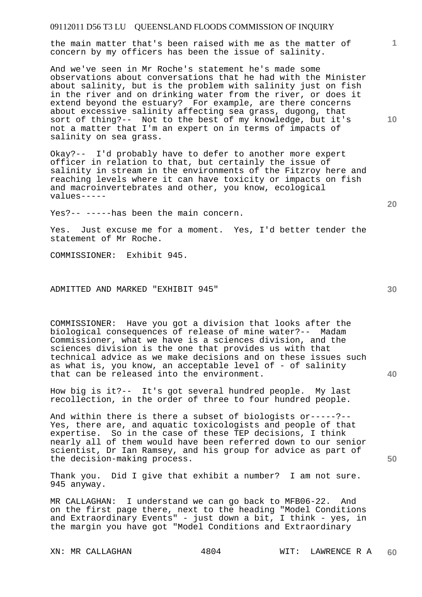the main matter that's been raised with me as the matter of concern by my officers has been the issue of salinity.

And we've seen in Mr Roche's statement he's made some observations about conversations that he had with the Minister about salinity, but is the problem with salinity just on fish in the river and on drinking water from the river, or does it extend beyond the estuary? For example, are there concerns about excessive salinity affecting sea grass, dugong, that sort of thing?-- Not to the best of my knowledge, but it's not a matter that I'm an expert on in terms of impacts of salinity on sea grass.

Okay?-- I'd probably have to defer to another more expert officer in relation to that, but certainly the issue of salinity in stream in the environments of the Fitzroy here and reaching levels where it can have toxicity or impacts on fish and macroinvertebrates and other, you know, ecological values-----

Yes?-- -----has been the main concern.

Yes. Just excuse me for a moment. Yes, I'd better tender the statement of Mr Roche.

COMMISSIONER: Exhibit 945.

ADMITTED AND MARKED "EXHIBIT 945"

COMMISSIONER: Have you got a division that looks after the biological consequences of release of mine water?-- Madam Commissioner, what we have is a sciences division, and the sciences division is the one that provides us with that technical advice as we make decisions and on these issues such as what is, you know, an acceptable level of - of salinity that can be released into the environment.

How big is it?-- It's got several hundred people. My last recollection, in the order of three to four hundred people.

And within there is there a subset of biologists or-----?-- Yes, there are, and aquatic toxicologists and people of that expertise. So in the case of these TEP decisions, I think nearly all of them would have been referred down to our senior scientist, Dr Ian Ramsey, and his group for advice as part of the decision-making process.

Thank you. Did I give that exhibit a number? I am not sure. 945 anyway.

MR CALLAGHAN: I understand we can go back to MFB06-22. And on the first page there, next to the heading "Model Conditions and Extraordinary Events" - just down a bit, I think - yes, in the margin you have got "Model Conditions and Extraordinary

**30** 

**20** 

**50** 

**10**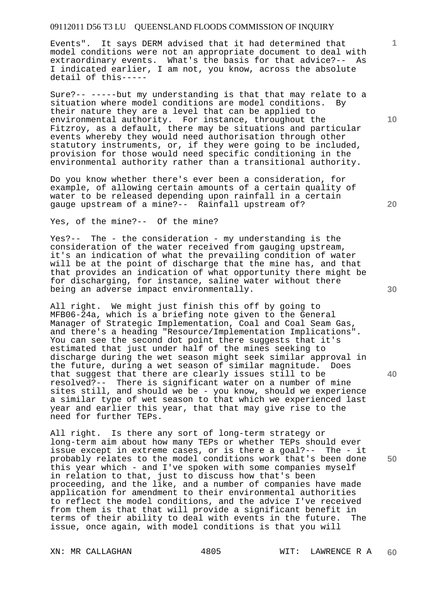Events". It says DERM advised that it had determined that model conditions were not an appropriate document to deal with extraordinary events. What's the basis for that advice?-- As I indicated earlier, I am not, you know, across the absolute detail of this-----

Sure?-- -----but my understanding is that that may relate to a situation where model conditions are model conditions. By their nature they are a level that can be applied to environmental authority. For instance, throughout the Fitzroy, as a default, there may be situations and particular events whereby they would need authorisation through other statutory instruments, or, if they were going to be included, provision for those would need specific conditioning in the environmental authority rather than a transitional authority.

Do you know whether there's ever been a consideration, for example, of allowing certain amounts of a certain quality of water to be released depending upon rainfall in a certain gauge upstream of a mine?-- Rainfall upstream of?

Yes, of the mine?-- Of the mine?

Yes?-- The - the consideration - my understanding is the consideration of the water received from gauging upstream, it's an indication of what the prevailing condition of water will be at the point of discharge that the mine has, and that that provides an indication of what opportunity there might be for discharging, for instance, saline water without there being an adverse impact environmentally.

All right. We might just finish this off by going to MFB06-24a, which is a briefing note given to the General Manager of Strategic Implementation, Coal and Coal Seam Gas, and there's a heading "Resource/Implementation Implications". You can see the second dot point there suggests that it's estimated that just under half of the mines seeking to discharge during the wet season might seek similar approval in the future, during a wet season of similar magnitude. Does that suggest that there are clearly issues still to be resolved?-- There is significant water on a number of mine sites still, and should we be - you know, should we experience a similar type of wet season to that which we experienced last year and earlier this year, that that may give rise to the need for further TEPs.

All right. Is there any sort of long-term strategy or long-term aim about how many TEPs or whether TEPs should ever issue except in extreme cases, or is there a goal?-- The - it probably relates to the model conditions work that's been done this year which - and I've spoken with some companies myself in relation to that, just to discuss how that's been proceeding, and the like, and a number of companies have made application for amendment to their environmental authorities to reflect the model conditions, and the advice I've received from them is that that will provide a significant benefit in terms of their ability to deal with events in the future. The issue, once again, with model conditions is that you will

**30** 

**40** 

**50** 

**20** 

**1**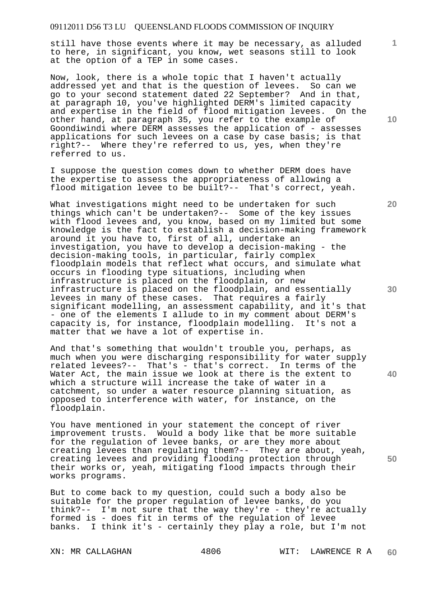still have those events where it may be necessary, as alluded to here, in significant, you know, wet seasons still to look at the option of a TEP in some cases.

Now, look, there is a whole topic that I haven't actually addressed yet and that is the question of levees. So can we go to your second statement dated 22 September? And in that, at paragraph 10, you've highlighted DERM's limited capacity and expertise in the field of flood mitigation levees. On the other hand, at paragraph 35, you refer to the example of Goondiwindi where DERM assesses the application of - assesses applications for such levees on a case by case basis; is that right?-- Where they're referred to us, yes, when they're referred to us.

I suppose the question comes down to whether DERM does have the expertise to assess the appropriateness of allowing a flood mitigation levee to be built?-- That's correct, yeah.

What investigations might need to be undertaken for such things which can't be undertaken?-- Some of the key issues with flood levees and, you know, based on my limited but some knowledge is the fact to establish a decision-making framework around it you have to, first of all, undertake an investigation, you have to develop a decision-making - the decision-making tools, in particular, fairly complex floodplain models that reflect what occurs, and simulate what occurs in flooding type situations, including when infrastructure is placed on the floodplain, or new infrastructure is placed on the floodplain, and essentially levees in many of these cases. That requires a fairly significant modelling, an assessment capability, and it's that - one of the elements I allude to in my comment about DERM's capacity is, for instance, floodplain modelling. It's not a matter that we have a lot of expertise in.

And that's something that wouldn't trouble you, perhaps, as much when you were discharging responsibility for water supply related levees?-- That's - that's correct. In terms of the Water Act, the main issue we look at there is the extent to which a structure will increase the take of water in a catchment, so under a water resource planning situation, as opposed to interference with water, for instance, on the floodplain.

You have mentioned in your statement the concept of river improvement trusts. Would a body like that be more suitable for the regulation of levee banks, or are they more about creating levees than regulating them?-- They are about, yeah, creating levees and providing flooding protection through their works or, yeah, mitigating flood impacts through their works programs.

But to come back to my question, could such a body also be suitable for the proper regulation of levee banks, do you think?-- I'm not sure that the way they're - they're actually formed is - does fit in terms of the regulation of levee banks. I think it's - certainly they play a role, but I'm not

**10** 

**1**

**20** 

**30** 

**40**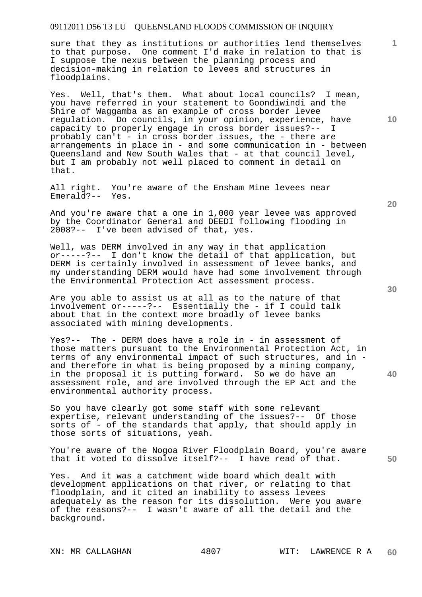sure that they as institutions or authorities lend themselves to that purpose. One comment I'd make in relation to that is I suppose the nexus between the planning process and decision-making in relation to levees and structures in floodplains.

Yes. Well, that's them. What about local councils? I mean, you have referred in your statement to Goondiwindi and the Shire of Waggamba as an example of cross border levee regulation. Do councils, in your opinion, experience, have capacity to properly engage in cross border issues?-- I probably can't - in cross border issues, the - there are arrangements in place in - and some communication in - between Queensland and New South Wales that - at that council level, but I am probably not well placed to comment in detail on that.

All right. You're aware of the Ensham Mine levees near Emerald?-- Yes.

And you're aware that a one in 1,000 year levee was approved by the Coordinator General and DEEDI following flooding in 2008?-- I've been advised of that, yes.

Well, was DERM involved in any way in that application or-----?-- I don't know the detail of that application, but DERM is certainly involved in assessment of levee banks, and my understanding DERM would have had some involvement through the Environmental Protection Act assessment process.

Are you able to assist us at all as to the nature of that involvement or-----?-- Essentially the - if I could talk about that in the context more broadly of levee banks associated with mining developments.

Yes?-- The - DERM does have a role in - in assessment of those matters pursuant to the Environmental Protection Act, in terms of any environmental impact of such structures, and in and therefore in what is being proposed by a mining company, in the proposal it is putting forward. So we do have an assessment role, and are involved through the EP Act and the environmental authority process.

So you have clearly got some staff with some relevant expertise, relevant understanding of the issues?-- Of those sorts of - of the standards that apply, that should apply in those sorts of situations, yeah.

You're aware of the Nogoa River Floodplain Board, you're aware that it voted to dissolve itself?-- I have read of that.

Yes. And it was a catchment wide board which dealt with development applications on that river, or relating to that floodplain, and it cited an inability to assess levees adequately as the reason for its dissolution. Were you aware of the reasons?-- I wasn't aware of all the detail and the background.

**30** 

**20** 

**1**

**10**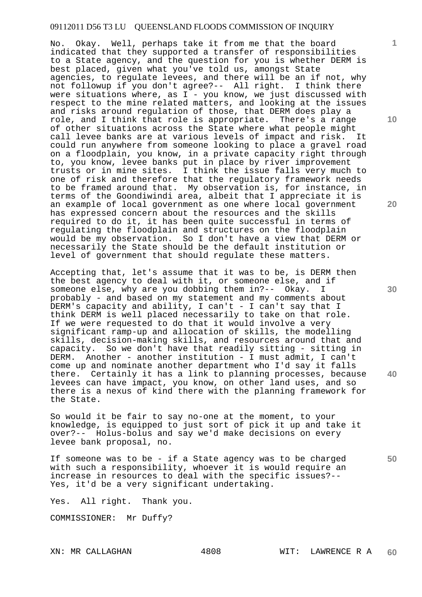No. Okay. Well, perhaps take it from me that the board indicated that they supported a transfer of responsibilities to a State agency, and the question for you is whether DERM is best placed, given what you've told us, amongst State agencies, to regulate levees, and there will be an if not, why not followup if you don't agree?-- All right. I think there were situations where, as  $I - y$ ou know, we just discussed with respect to the mine related matters, and looking at the issues and risks around regulation of those, that DERM does play a role, and I think that role is appropriate. There's a range of other situations across the State where what people might call levee banks are at various levels of impact and risk. It could run anywhere from someone looking to place a gravel road on a floodplain, you know, in a private capacity right through to, you know, levee banks put in place by river improvement trusts or in mine sites. I think the issue falls very much to one of risk and therefore that the regulatory framework needs to be framed around that. My observation is, for instance, in terms of the Goondiwindi area, albeit that I appreciate it is an example of local government as one where local government has expressed concern about the resources and the skills required to do it, it has been quite successful in terms of regulating the floodplain and structures on the floodplain would be my observation. So I don't have a view that DERM or necessarily the State should be the default institution or level of government that should regulate these matters.

Accepting that, let's assume that it was to be, is DERM then the best agency to deal with it, or someone else, and if someone else, why are you dobbing them in?-- Okay. I probably - and based on my statement and my comments about DERM's capacity and ability, I can't - I can't say that I think DERM is well placed necessarily to take on that role. If we were requested to do that it would involve a very significant ramp-up and allocation of skills, the modelling skills, decision-making skills, and resources around that and capacity. So we don't have that readily sitting - sitting in DERM. Another - another institution - I must admit, I can't come up and nominate another department who I'd say it falls there. Certainly it has a link to planning processes, because levees can have impact, you know, on other land uses, and so there is a nexus of kind there with the planning framework for the State.

So would it be fair to say no-one at the moment, to your knowledge, is equipped to just sort of pick it up and take it over?-- Holus-bolus and say we'd make decisions on every levee bank proposal, no.

If someone was to be - if a State agency was to be charged with such a responsibility, whoever it is would require an increase in resources to deal with the specific issues?-- Yes, it'd be a very significant undertaking.

Yes. All right. Thank you.

COMMISSIONER: Mr Duffy?

**1**

**20** 

**30** 

**40**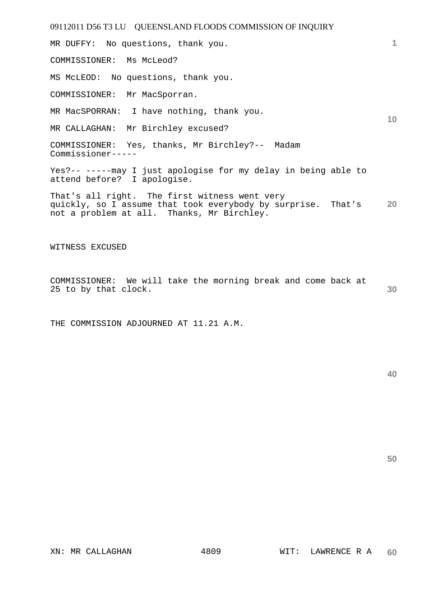MR DUFFY: No questions, thank you.

COMMISSIONER: Ms McLeod?

MS McLEOD: No questions, thank you.

COMMISSIONER: Mr MacSporran.

MR MacSPORRAN: I have nothing, thank you.

MR CALLAGHAN: Mr Birchley excused?

COMMISSIONER: Yes, thanks, Mr Birchley?-- Madam Commissioner-----

Yes?-- -----may I just apologise for my delay in being able to attend before? I apologise.

**20**  That's all right. The first witness went very quickly, so I assume that took everybody by surprise. That's not a problem at all. Thanks, Mr Birchley.

WITNESS EXCUSED

**30**  COMMISSIONER: We will take the morning break and come back at 25 to by that clock.

THE COMMISSION ADJOURNED AT 11.21 A.M.

**40** 

**50** 

**1**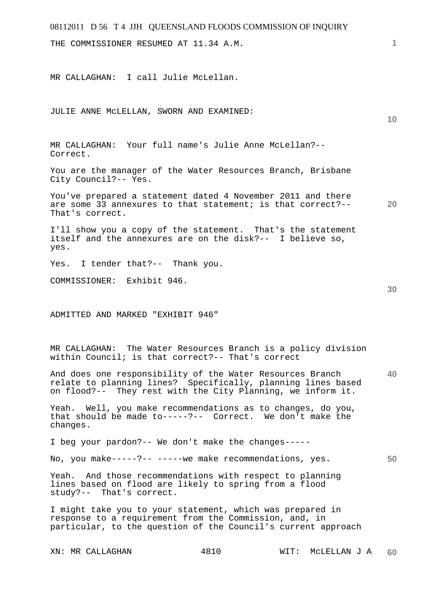| 08112011 D 56 T 4 JJH QUEENSLAND FLOODS COMMISSION OF INQUIRY                                                                                                                            |      |                      |    |
|------------------------------------------------------------------------------------------------------------------------------------------------------------------------------------------|------|----------------------|----|
| THE COMMISSIONER RESUMED AT 11.34 A.M.                                                                                                                                                   |      |                      | 1  |
| MR CALLAGHAN: I call Julie McLellan.                                                                                                                                                     |      |                      |    |
| JULIE ANNE MCLELLAN, SWORN AND EXAMINED:                                                                                                                                                 |      |                      | 10 |
| MR CALLAGHAN: Your full name's Julie Anne McLellan?--<br>Correct.                                                                                                                        |      |                      |    |
| You are the manager of the Water Resources Branch, Brisbane<br>City Council?-- Yes.                                                                                                      |      |                      |    |
| You've prepared a statement dated 4 November 2011 and there<br>are some 33 annexures to that statement; is that correct?--<br>That's correct.                                            |      |                      | 20 |
| I'll show you a copy of the statement. That's the statement<br>itself and the annexures are on the disk?-- I believe so,<br>yes.                                                         |      |                      |    |
| Yes. I tender that?-- Thank you.                                                                                                                                                         |      |                      |    |
| COMMISSIONER: Exhibit 946.                                                                                                                                                               |      |                      | 30 |
| ADMITTED AND MARKED "EXHIBIT 946"                                                                                                                                                        |      |                      |    |
| MR CALLAGHAN: The Water Resources Branch is a policy division<br>within Council; is that correct?-- That's correct                                                                       |      |                      |    |
| And does one responsibility of the Water Resources Branch<br>relate to planning lines? Specifically, planning lines based<br>on flood?-- They rest with the City Planning, we inform it. |      |                      | 40 |
| Yeah. Well, you make recommendations as to changes, do you,<br>that should be made to-----?-- Correct. We don't make the<br>changes.                                                     |      |                      |    |
| I beg your pardon?-- We don't make the changes-----                                                                                                                                      |      |                      |    |
| No, you make-----?-- -----we make recommendations, yes.                                                                                                                                  |      |                      | 50 |
| Yeah. And those recommendations with respect to planning<br>lines based on flood are likely to spring from a flood<br>study?-- That's correct.                                           |      |                      |    |
| I might take you to your statement, which was prepared in<br>response to a requirement from the Commission, and, in<br>particular, to the question of the Council's current approach     |      |                      |    |
| XN: MR CALLAGHAN                                                                                                                                                                         | 4810 | MCLELLAN J A<br>WIT: | 60 |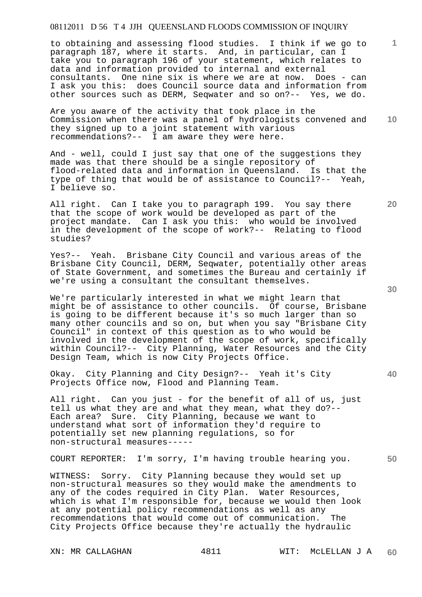to obtaining and assessing flood studies. I think if we go to paragraph 187, where it starts. And, in particular, can I take you to paragraph 196 of your statement, which relates to data and information provided to internal and external consultants. One nine six is where we are at now. Does - can I ask you this: does Council source data and information from other sources such as DERM, Seqwater and so on?-- Yes, we do.

**10**  Are you aware of the activity that took place in the Commission when there was a panel of hydrologists convened and they signed up to a joint statement with various recommendations?-- I am aware they were here.

And - well, could I just say that one of the suggestions they made was that there should be a single repository of flood-related data and information in Queensland. Is that the type of thing that would be of assistance to Council?-- Yeah, I believe so.

All right. Can I take you to paragraph 199. You say there that the scope of work would be developed as part of the project mandate. Can I ask you this: who would be involved in the development of the scope of work?-- Relating to flood studies?

Yes?-- Yeah. Brisbane City Council and various areas of the Brisbane City Council, DERM, Seqwater, potentially other areas of State Government, and sometimes the Bureau and certainly if we're using a consultant the consultant themselves.

We're particularly interested in what we might learn that might be of assistance to other councils. Of course, Brisbane is going to be different because it's so much larger than so many other councils and so on, but when you say "Brisbane City Council" in context of this question as to who would be involved in the development of the scope of work, specifically within Council?-- City Planning, Water Resources and the City Design Team, which is now City Projects Office.

Okay. City Planning and City Design?-- Yeah it's City Projects Office now, Flood and Planning Team.

All right. Can you just - for the benefit of all of us, just tell us what they are and what they mean, what they do?-- Each area? Sure. City Planning, because we want to understand what sort of information they'd require to potentially set new planning regulations, so for non-structural measures-----

COURT REPORTER: I'm sorry, I'm having trouble hearing you.

WITNESS: Sorry. City Planning because they would set up non-structural measures so they would make the amendments to any of the codes required in City Plan. Water Resources, which is what I'm responsible for, because we would then look at any potential policy recommendations as well as any recommendations that would come out of communication. The City Projects Office because they're actually the hydraulic

XN: MR CALLAGHAN 4811 WIT: MCLELLAN J A **60** 

**30** 

**20** 

**50**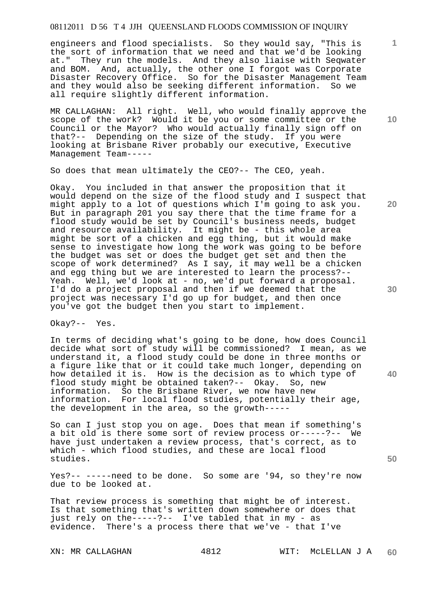engineers and flood specialists. So they would say, "This is the sort of information that we need and that we'd be looking at." They run the models. And they also liaise with Seqwater and BOM. And, actually, the other one I forgot was Corporate Disaster Recovery Office. So for the Disaster Management Team and they would also be seeking different information. So we all require slightly different information.

MR CALLAGHAN: All right. Well, who would finally approve the scope of the work? Would it be you or some committee or the Council or the Mayor? Who would actually finally sign off on that?-- Depending on the size of the study. If you were looking at Brisbane River probably our executive, Executive Management Team-----

So does that mean ultimately the CEO?-- The CEO, yeah.

Okay. You included in that answer the proposition that it would depend on the size of the flood study and I suspect that might apply to a lot of questions which I'm going to ask you. But in paragraph 201 you say there that the time frame for a flood study would be set by Council's business needs, budget and resource availability. It might be - this whole area might be sort of a chicken and egg thing, but it would make sense to investigate how long the work was going to be before the budget was set or does the budget get set and then the scope of work determined? As I say, it may well be a chicken and egg thing but we are interested to learn the process?-- Yeah. Well, we'd look at - no, we'd put forward a proposal. I'd do a project proposal and then if we deemed that the project was necessary I'd go up for budget, and then once you've got the budget then you start to implement.

Okay?-- Yes.

In terms of deciding what's going to be done, how does Council decide what sort of study will be commissioned? I mean, as we understand it, a flood study could be done in three months or a figure like that or it could take much longer, depending on how detailed it is. How is the decision as to which type of flood study might be obtained taken?-- Okay. So, new information. So the Brisbane River, we now have new information. For local flood studies, potentially their age, the development in the area, so the growth-----

So can I just stop you on age. Does that mean if something's a bit old is there some sort of review process or-----?-- We have just undertaken a review process, that's correct, as to which - which flood studies, and these are local flood studies.

Yes?-- -----need to be done. So some are '94, so they're now due to be looked at.

That review process is something that might be of interest. Is that something that's written down somewhere or does that just rely on the-----?-- I've tabled that in my - as evidence. There's a process there that we've - that I've

**10** 

**1**

**20** 

**30** 

**50**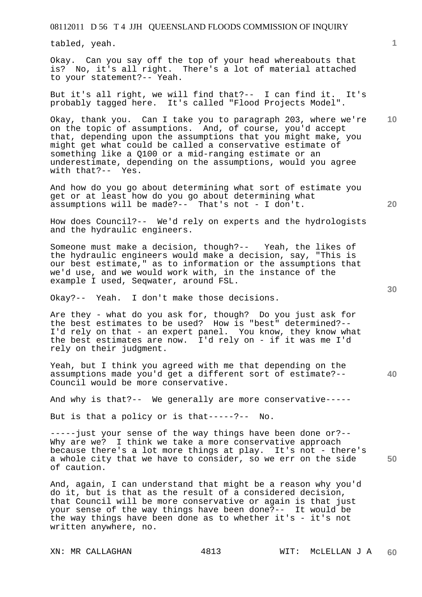tabled, yeah.

Okay. Can you say off the top of your head whereabouts that is? No, it's all right. There's a lot of material attached to your statement?-- Yeah.

But it's all right, we will find that?-- I can find it. It's probably tagged here. It's called "Flood Projects Model".

Okay, thank you. Can I take you to paragraph 203, where we're on the topic of assumptions. And, of course, you'd accept that, depending upon the assumptions that you might make, you might get what could be called a conservative estimate of something like a Q100 or a mid-ranging estimate or an underestimate, depending on the assumptions, would you agree with that?-- Yes.

And how do you go about determining what sort of estimate you get or at least how do you go about determining what assumptions will be made?-- That's not - I don't.

How does Council?-- We'd rely on experts and the hydrologists and the hydraulic engineers.

Someone must make a decision, though?-- Yeah, the likes of the hydraulic engineers would make a decision, say, "This is our best estimate," as to information or the assumptions that we'd use, and we would work with, in the instance of the example I used, Seqwater, around FSL.

Okay?-- Yeah. I don't make those decisions.

Are they - what do you ask for, though? Do you just ask for the best estimates to be used? How is "best" determined?-- I'd rely on that - an expert panel. You know, they know what the best estimates are now. I'd rely on - if it was me I'd rely on their judgment.

Yeah, but I think you agreed with me that depending on the assumptions made you'd get a different sort of estimate?-- Council would be more conservative.

And why is that?-- We generally are more conservative-----

But is that a policy or is that-----?-- No.

**50**  -----just your sense of the way things have been done or?-- Why are we? I think we take a more conservative approach because there's a lot more things at play. It's not - there's a whole city that we have to consider, so we err on the side of caution.

And, again, I can understand that might be a reason why you'd do it, but is that as the result of a considered decision, that Council will be more conservative or again is that just your sense of the way things have been done?-- It would be the way things have been done as to whether it's  $-$  it's not written anywhere, no.

**30** 

**40** 

**20** 

**10**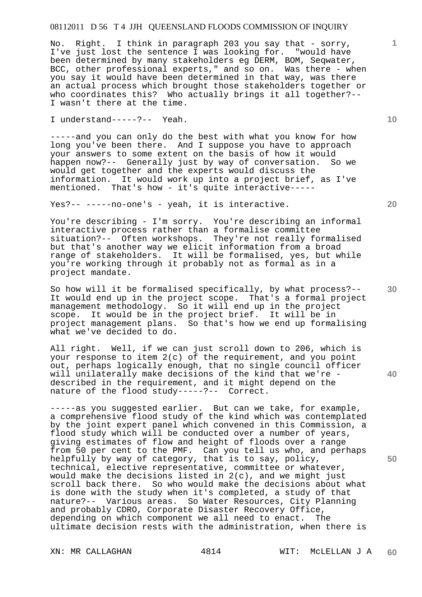No. Right. I think in paragraph 203 you say that - sorry, I've just lost the sentence I was looking for. "would have been determined by many stakeholders eg DERM, BOM, Seqwater, BCC, other professional experts," and so on. Was there - when you say it would have been determined in that way, was there an actual process which brought those stakeholders together or who coordinates this? Who actually brings it all together?-- I wasn't there at the time.

I understand-----?-- Yeah.

-----and you can only do the best with what you know for how long you've been there. And I suppose you have to approach your answers to some extent on the basis of how it would happen now?-- Generally just by way of conversation. So we would get together and the experts would discuss the information. It would work up into a project brief, as I've mentioned. That's how - it's quite interactive-----

Yes?-- -----no-one's - yeah, it is interactive.

You're describing - I'm sorry. You're describing an informal interactive process rather than a formalise committee situation?-- Often workshops. They're not really formalised but that's another way we elicit information from a broad range of stakeholders. It will be formalised, yes, but while you're working through it probably not as formal as in a project mandate.

So how will it be formalised specifically, by what process?-- It would end up in the project scope. That's a formal project management methodology. So it will end up in the project scope. It would be in the project brief. It will be in project management plans. So that's how we end up formalising what we've decided to do.

All right. Well, if we can just scroll down to 206, which is your response to item 2(c) of the requirement, and you point out, perhaps logically enough, that no single council officer will unilaterally make decisions of the kind that we're described in the requirement, and it might depend on the nature of the flood study-----?-- Correct.

-----as you suggested earlier. But can we take, for example, a comprehensive flood study of the kind which was contemplated by the joint expert panel which convened in this Commission, a flood study which will be conducted over a number of years, giving estimates of flow and height of floods over a range from 50 per cent to the PMF. Can you tell us who, and perhaps helpfully by way of category, that is to say, policy, technical, elective representative, committee or whatever, would make the decisions listed in 2(c), and we might just scroll back there. So who would make the decisions about what is done with the study when it's completed, a study of that nature?-- Various areas. So Water Resources, City Planning and probably CDRO, Corporate Disaster Recovery Office, depending on which component we all need to enact. The ultimate decision rests with the administration, when there is

**20** 

**10** 

**1**

**30** 

**40**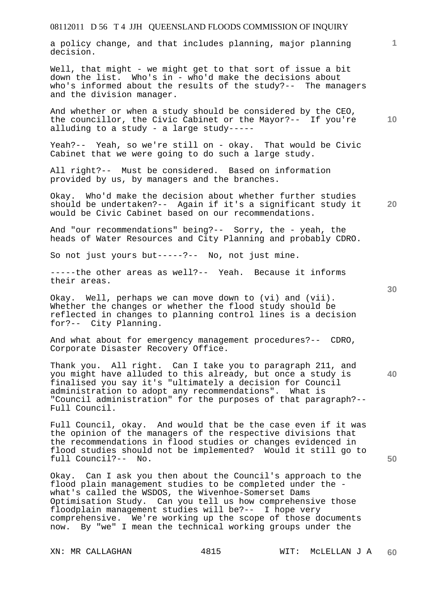a policy change, and that includes planning, major planning decision.

Well, that might - we might get to that sort of issue a bit down the list. Who's in - who'd make the decisions about who's informed about the results of the study?-- The managers and the division manager.

And whether or when a study should be considered by the CEO, the councillor, the Civic Cabinet or the Mayor?-- If you're alluding to a study - a large study-----

Yeah?-- Yeah, so we're still on - okay. That would be Civic Cabinet that we were going to do such a large study.

All right?-- Must be considered. Based on information provided by us, by managers and the branches.

**20**  Okay. Who'd make the decision about whether further studies should be undertaken?-- Again if it's a significant study it would be Civic Cabinet based on our recommendations.

And "our recommendations" being?-- Sorry, the - yeah, the heads of Water Resources and City Planning and probably CDRO.

So not just yours but-----?-- No, not just mine.

-----the other areas as well?-- Yeah. Because it informs their areas.

Okay. Well, perhaps we can move down to (vi) and (vii). Whether the changes or whether the flood study should be reflected in changes to planning control lines is a decision for?-- City Planning.

And what about for emergency management procedures?-- CDRO, Corporate Disaster Recovery Office.

Thank you. All right. Can I take you to paragraph 211, and you might have alluded to this already, but once a study is finalised you say it's "ultimately a decision for Council administration to adopt any recommendations". What is "Council administration" for the purposes of that paragraph?-- Full Council.

Full Council, okay. And would that be the case even if it was the opinion of the managers of the respective divisions that the recommendations in flood studies or changes evidenced in flood studies should not be implemented? Would it still go to full Council?-- No.

Okay. Can I ask you then about the Council's approach to the flood plain management studies to be completed under the what's called the WSDOS, the Wivenhoe-Somerset Dams Optimisation Study. Can you tell us how comprehensive those floodplain management studies will be?-- I hope very comprehensive. We're working up the scope of those documents now. By "we" I mean the technical working groups under the

**30** 

**40** 

**50** 

**1**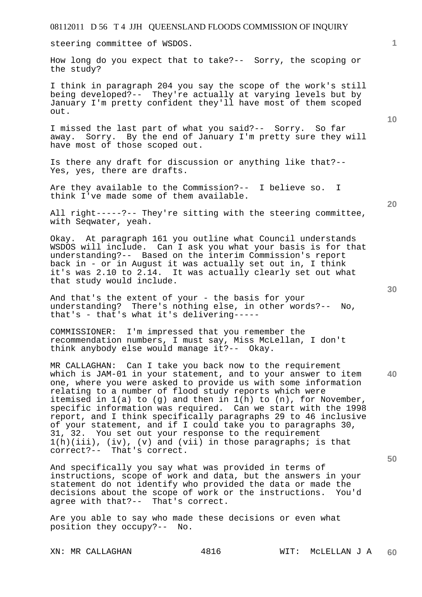steering committee of WSDOS.

How long do you expect that to take?-- Sorry, the scoping or the study?

I think in paragraph 204 you say the scope of the work's still being developed?-- They're actually at varying levels but by January I'm pretty confident they'll have most of them scoped out.

I missed the last part of what you said?-- Sorry. So far away. Sorry. By the end of January I'm pretty sure they will have most of those scoped out.

Is there any draft for discussion or anything like that?-- Yes, yes, there are drafts.

Are they available to the Commission?-- I believe so. I think I've made some of them available.

All right-----?-- They're sitting with the steering committee, with Seqwater, yeah.

Okay. At paragraph 161 you outline what Council understands WSDOS will include. Can I ask you what your basis is for that understanding?-- Based on the interim Commission's report back in - or in August it was actually set out in, I think it's was 2.10 to 2.14. It was actually clearly set out what that study would include.

And that's the extent of your - the basis for your understanding? There's nothing else, in other words?-- No, that's - that's what it's delivering-----

COMMISSIONER: I'm impressed that you remember the recommendation numbers, I must say, Miss McLellan, I don't think anybody else would manage it?-- Okay.

**40 50**  MR CALLAGHAN: Can I take you back now to the requirement which is JAM-01 in your statement, and to your answer to item one, where you were asked to provide us with some information relating to a number of flood study reports which were itemised in  $1(a)$  to  $(q)$  and then in  $1(h)$  to  $(n)$ , for November, specific information was required. Can we start with the 1998 report, and I think specifically paragraphs 29 to 46 inclusive of your statement, and if I could take you to paragraphs 30, 31, 32. You set out your response to the requirement  $1(h)(iii)$ , (iv), (v) and (vii) in those paragraphs; is that correct?-- That's correct. That's correct.

And specifically you say what was provided in terms of instructions, scope of work and data, but the answers in your statement do not identify who provided the data or made the decisions about the scope of work or the instructions. You'd agree with that?-- That's correct.

Are you able to say who made these decisions or even what position they occupy?-- No.

**20** 

**10**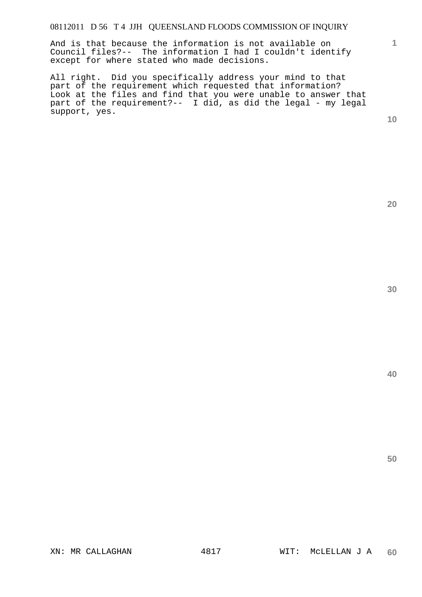And is that because the information is not available on Council files?-- The information I had I couldn't identify except for where stated who made decisions.

All right. Did you specifically address your mind to that part of the requirement which requested that information? Look at the files and find that you were unable to answer that part of the requirement?-- I did, as did the legal - my legal support, yes.

**10** 

**1**

**20**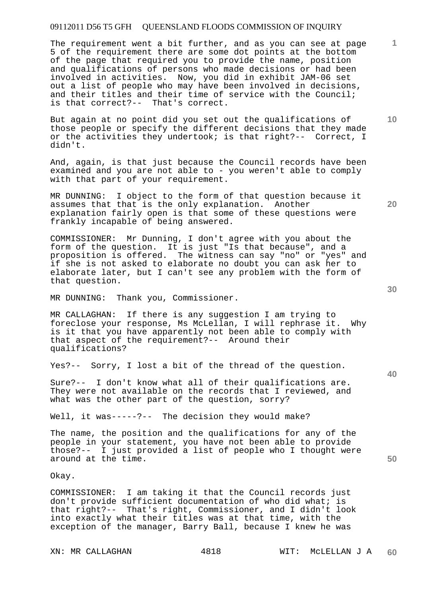The requirement went a bit further, and as you can see at page 5 of the requirement there are some dot points at the bottom of the page that required you to provide the name, position and qualifications of persons who made decisions or had been involved in activities. Now, you did in exhibit JAM-06 set out a list of people who may have been involved in decisions, and their titles and their time of service with the Council; is that correct?-- That's correct.

But again at no point did you set out the qualifications of those people or specify the different decisions that they made or the activities they undertook; is that right?-- Correct, I didn't.

And, again, is that just because the Council records have been examined and you are not able to - you weren't able to comply with that part of your requirement.

MR DUNNING: I object to the form of that question because it assumes that that is the only explanation. Another explanation fairly open is that some of these questions were frankly incapable of being answered.

COMMISSIONER: Mr Dunning, I don't agree with you about the form of the question. It is just "Is that because", and a proposition is offered. The witness can say "no" or "yes" and if she is not asked to elaborate no doubt you can ask her to elaborate later, but I can't see any problem with the form of that question.

MR DUNNING: Thank you, Commissioner.

MR CALLAGHAN: If there is any suggestion I am trying to foreclose your response, Ms McLellan, I will rephrase it. Why is it that you have apparently not been able to comply with that aspect of the requirement?-- Around their qualifications?

Yes?-- Sorry, I lost a bit of the thread of the question.

Sure?-- I don't know what all of their qualifications are. They were not available on the records that I reviewed, and what was the other part of the question, sorry?

Well, it was-----?-- The decision they would make?

The name, the position and the qualifications for any of the people in your statement, you have not been able to provide those?-- I just provided a list of people who I thought were around at the time.

Okay.

COMMISSIONER: I am taking it that the Council records just don't provide sufficient documentation of who did what; is that right?-- That's right, Commissioner, and I didn't look into exactly what their titles was at that time, with the exception of the manager, Barry Ball, because I knew he was

**30** 

**20** 

**50** 

**10**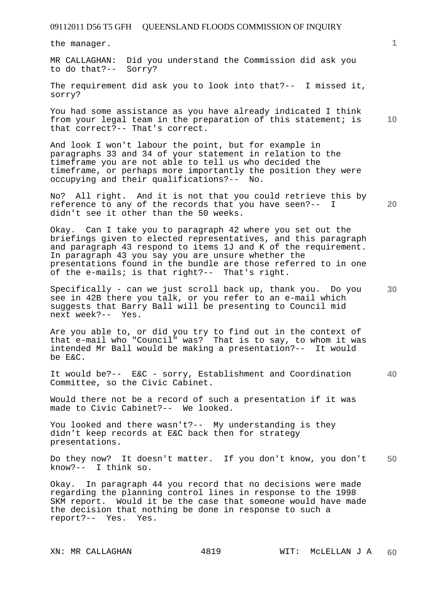the manager.

MR CALLAGHAN: Did you understand the Commission did ask you to do that?-- Sorry?

The requirement did ask you to look into that?-- I missed it, sorry?

You had some assistance as you have already indicated I think from your legal team in the preparation of this statement; is that correct?-- That's correct.

And look I won't labour the point, but for example in paragraphs 33 and 34 of your statement in relation to the timeframe you are not able to tell us who decided the timeframe, or perhaps more importantly the position they were occupying and their qualifications?-- No.

No? All right. And it is not that you could retrieve this by reference to any of the records that you have seen?-- I didn't see it other than the 50 weeks.

Okay. Can I take you to paragraph 42 where you set out the briefings given to elected representatives, and this paragraph and paragraph 43 respond to items 1J and K of the requirement. In paragraph 43 you say you are unsure whether the presentations found in the bundle are those referred to in one of the e-mails; is that right?-- That's right.

Specifically - can we just scroll back up, thank you. Do you see in 42B there you talk, or you refer to an e-mail which suggests that Barry Ball will be presenting to Council mid next week?-- Yes.

Are you able to, or did you try to find out in the context of that e-mail who "Council" was? That is to say, to whom it was intended Mr Ball would be making a presentation?-- It would be E&C.

It would be?-- E&C - sorry, Establishment and Coordination Committee, so the Civic Cabinet.

Would there not be a record of such a presentation if it was made to Civic Cabinet?-- We looked.

You looked and there wasn't?-- My understanding is they didn't keep records at E&C back then for strategy presentations.

**50**  Do they now? It doesn't matter. If you don't know, you don't know?-- I think so.

Okay. In paragraph 44 you record that no decisions were made regarding the planning control lines in response to the 1998 SKM report. Would it be the case that someone would have made the decision that nothing be done in response to such a report?-- Yes. Yes.

**20** 

**10** 

**30**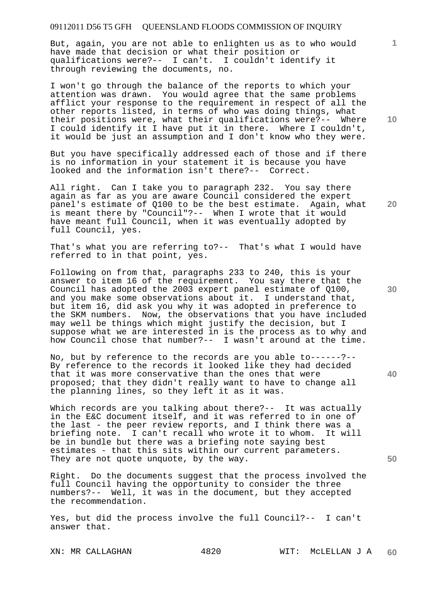But, again, you are not able to enlighten us as to who would have made that decision or what their position or qualifications were?-- I can't. I couldn't identify it through reviewing the documents, no.

I won't go through the balance of the reports to which your attention was drawn. You would agree that the same problems afflict your response to the requirement in respect of all the other reports listed, in terms of who was doing things, what their positions were, what their qualifications were?-- Where I could identify it I have put it in there. Where I couldn't, it would be just an assumption and I don't know who they were.

But you have specifically addressed each of those and if there is no information in your statement it is because you have looked and the information isn't there?-- Correct.

All right. Can I take you to paragraph 232. You say there again as far as you are aware Council considered the expert panel's estimate of Q100 to be the best estimate. Again, what is meant there by "Council"?-- When I wrote that it would have meant full Council, when it was eventually adopted by full Council, yes.

That's what you are referring to?-- That's what I would have referred to in that point, yes.

Following on from that, paragraphs 233 to 240, this is your answer to item 16 of the requirement. You say there that the Council has adopted the 2003 expert panel estimate of Q100, and you make some observations about it. I understand that, but item 16, did ask you why it was adopted in preference to the SKM numbers. Now, the observations that you have included may well be things which might justify the decision, but I suppose what we are interested in is the process as to why and how Council chose that number?-- I wasn't around at the time.

No, but by reference to the records are you able to------?-- By reference to the records it looked like they had decided that it was more conservative than the ones that were proposed; that they didn't really want to have to change all the planning lines, so they left it as it was.

Which records are you talking about there?-- It was actually in the E&C document itself, and it was referred to in one of the last - the peer review reports, and I think there was a briefing note. I can't recall who wrote it to whom. It will be in bundle but there was a briefing note saying best estimates - that this sits within our current parameters. They are not quote unquote, by the way.

Right. Do the documents suggest that the process involved the full Council having the opportunity to consider the three numbers?-- Well, it was in the document, but they accepted the recommendation.

Yes, but did the process involve the full Council?-- I can't answer that.

**10** 

**1**

**20** 

**30** 

**40**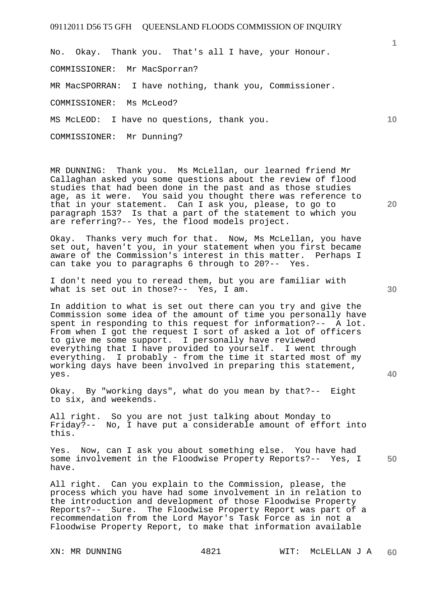No. Okay. Thank you. That's all I have, your Honour. COMMISSIONER: Mr MacSporran? MR MacSPORRAN: I have nothing, thank you, Commissioner. COMMISSIONER: Ms McLeod? MS McLEOD: I have no questions, thank you. COMMISSIONER: Mr Dunning?

MR DUNNING: Thank you. Ms McLellan, our learned friend Mr Callaghan asked you some questions about the review of flood studies that had been done in the past and as those studies age, as it were. You said you thought there was reference to that in your statement. Can I ask you, please, to go to paragraph 153? Is that a part of the statement to which you are referring?-- Yes, the flood models project.

Okay. Thanks very much for that. Now, Ms McLellan, you have set out, haven't you, in your statement when you first became aware of the Commission's interest in this matter. Perhaps I can take you to paragraphs 6 through to 20?-- Yes.

I don't need you to reread them, but you are familiar with what is set out in those?-- Yes, I am.

In addition to what is set out there can you try and give the Commission some idea of the amount of time you personally have spent in responding to this request for information?-- A lot. From when I got the request I sort of asked a lot of officers to give me some support. I personally have reviewed everything that I have provided to yourself. I went through everything. I probably - from the time it started most of  $m$ y working days have been involved in preparing this statement, yes.

Okay. By "working days", what do you mean by that?-- Eight to six, and weekends.

All right. So you are not just talking about Monday to Friday?-- No, I have put a considerable amount of effort into this.

**50**  Yes. Now, can I ask you about something else. You have had some involvement in the Floodwise Property Reports?-- Yes, I have.

All right. Can you explain to the Commission, please, the process which you have had some involvement in in relation to the introduction and development of those Floodwise Property Reports?-- Sure. The Floodwise Property Report was part of a recommendation from the Lord Mayor's Task Force as in not a Floodwise Property Report, to make that information available

**30** 

**20** 

**1**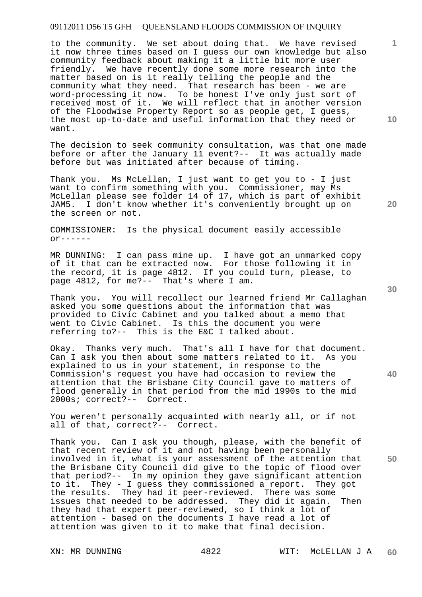to the community. We set about doing that. We have revised it now three times based on I guess our own knowledge but also community feedback about making it a little bit more user friendly. We have recently done some more research into the matter based on is it really telling the people and the community what they need. That research has been - we are word-processing it now. To be honest I've only just sort of received most of it. We will reflect that in another version of the Floodwise Property Report so as people get, I guess, the most up-to-date and useful information that they need or want.

The decision to seek community consultation, was that one made before or after the January 11 event?-- It was actually made before but was initiated after because of timing.

Thank you. Ms McLellan, I just want to get you to - I just want to confirm something with you. Commissioner, may Ms McLellan please see folder 14 of 17, which is part of exhibit JAM5. I don't know whether it's conveniently brought up on the screen or not.

COMMISSIONER: Is the physical document easily accessible  $or---$ 

MR DUNNING: I can pass mine up. I have got an unmarked copy of it that can be extracted now. For those following it in the record, it is page 4812. If you could turn, please, to page 4812, for me?-- That's where I am.

Thank you. You will recollect our learned friend Mr Callaghan asked you some questions about the information that was provided to Civic Cabinet and you talked about a memo that went to Civic Cabinet. Is this the document you were referring to?-- This is the E&C I talked about.

Okay. Thanks very much. That's all I have for that document. Can I ask you then about some matters related to it. As you explained to us in your statement, in response to the Commission's request you have had occasion to review the attention that the Brisbane City Council gave to matters of flood generally in that period from the mid 1990s to the mid 2000s; correct?-- Correct.

You weren't personally acquainted with nearly all, or if not all of that, correct?-- Correct.

Thank you. Can I ask you though, please, with the benefit of that recent review of it and not having been personally involved in it, what is your assessment of the attention that the Brisbane City Council did give to the topic of flood over that period?-- In my opinion they gave significant attention to it. They - I guess they commissioned a report. They got the results. They had it peer-reviewed. There was some issues that needed to be addressed. They did it again. Then they had that expert peer-reviewed, so I think a lot of attention - based on the documents I have read a lot of attention was given to it to make that final decision.

**10** 

**1**

**30** 

**20** 



**40**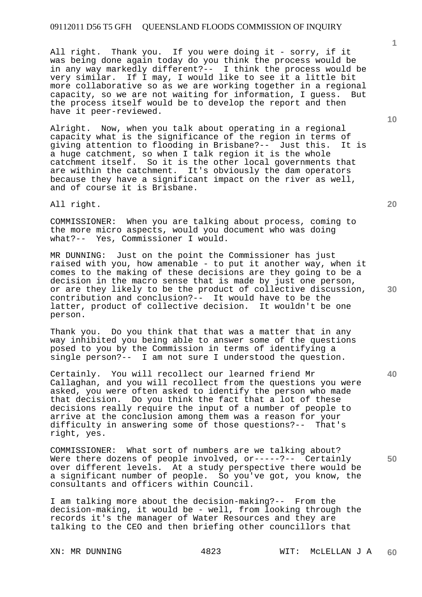All right. Thank you. If you were doing it - sorry, if it was being done again today do you think the process would be in any way markedly different?-- I think the process would be very similar. If I may, I would like to see it a little bit more collaborative so as we are working together in a regional capacity, so we are not waiting for information, I guess. But the process itself would be to develop the report and then have it peer-reviewed.

Alright. Now, when you talk about operating in a regional capacity what is the significance of the region in terms of giving attention to flooding in Brisbane?-- Just this. It is a huge catchment, so when I talk region it is the whole catchment itself. So it is the other local governments that are within the catchment. It's obviously the dam operators because they have a significant impact on the river as well, and of course it is Brisbane.

All right.

COMMISSIONER: When you are talking about process, coming to the more micro aspects, would you document who was doing what?-- Yes, Commissioner I would.

MR DUNNING: Just on the point the Commissioner has just raised with you, how amenable - to put it another way, when it comes to the making of these decisions are they going to be a decision in the macro sense that is made by just one person, or are they likely to be the product of collective discussion, contribution and conclusion?-- It would have to be the latter, product of collective decision. It wouldn't be one person.

Thank you. Do you think that that was a matter that in any way inhibited you being able to answer some of the questions posed to you by the Commission in terms of identifying a single person?-- I am not sure I understood the question.

Certainly. You will recollect our learned friend Mr Callaghan, and you will recollect from the questions you were asked, you were often asked to identify the person who made that decision. Do you think the fact that a lot of these decisions really require the input of a number of people to arrive at the conclusion among them was a reason for your difficulty in answering some of those questions?-- That's right, yes.

COMMISSIONER: What sort of numbers are we talking about? Were there dozens of people involved, or-----?-- Certainly over different levels. At a study perspective there would be a significant number of people. So you've got, you know, the consultants and officers within Council.

I am talking more about the decision-making?-- From the decision-making, it would be - well, from looking through the records it's the manager of Water Resources and they are talking to the CEO and then briefing other councillors that

**10** 

**1**

**20** 

**40**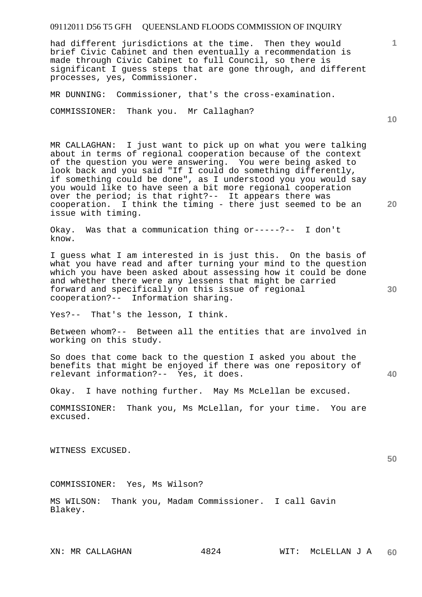had different jurisdictions at the time. Then they would brief Civic Cabinet and then eventually a recommendation is made through Civic Cabinet to full Council, so there is significant I guess steps that are gone through, and different processes, yes, Commissioner.

MR DUNNING: Commissioner, that's the cross-examination.

COMMISSIONER: Thank you. Mr Callaghan?

MR CALLAGHAN: I just want to pick up on what you were talking about in terms of regional cooperation because of the context of the question you were answering. You were being asked to look back and you said "If I could do something differently, if something could be done", as I understood you you would say you would like to have seen a bit more regional cooperation over the period; is that right?-- It appears there was cooperation. I think the timing - there just seemed to be an issue with timing.

Okay. Was that a communication thing or-----?-- I don't know.

I guess what I am interested in is just this. On the basis of what you have read and after turning your mind to the question which you have been asked about assessing how it could be done and whether there were any lessens that might be carried forward and specifically on this issue of regional cooperation?-- Information sharing.

Yes?-- That's the lesson, I think.

Between whom?-- Between all the entities that are involved in working on this study.

So does that come back to the question I asked you about the benefits that might be enjoyed if there was one repository of relevant information?-- Yes, it does.

Okay. I have nothing further. May Ms McLellan be excused.

COMMISSIONER: Thank you, Ms McLellan, for your time. You are excused.

WITNESS EXCUSED.

COMMISSIONER: Yes, Ms Wilson?

MS WILSON: Thank you, Madam Commissioner. I call Gavin Blakey.

**30** 

**40** 

**50** 

**10** 

**20**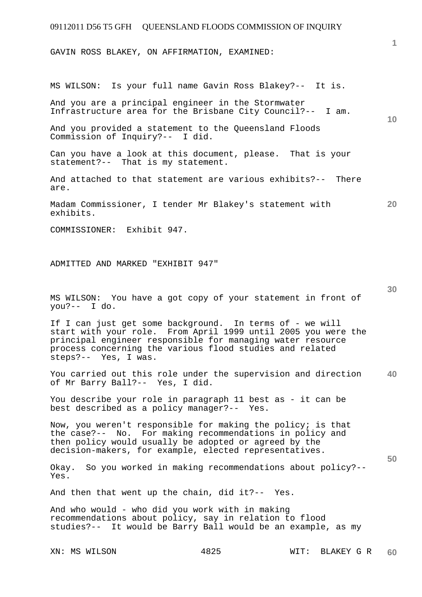GAVIN ROSS BLAKEY, ON AFFIRMATION, EXAMINED:

**10 20 30 40 50**  MS WILSON: Is your full name Gavin Ross Blakey?-- It is. And you are a principal engineer in the Stormwater Infrastructure area for the Brisbane City Council?-- I am. And you provided a statement to the Queensland Floods Commission of Inquiry?-- I did. Can you have a look at this document, please. That is your statement?-- That is my statement. And attached to that statement are various exhibits?-- There are. Madam Commissioner, I tender Mr Blakey's statement with exhibits. COMMISSIONER: Exhibit 947. ADMITTED AND MARKED "EXHIBIT 947" MS WILSON: You have a got copy of your statement in front of you?-- I do. If I can just get some background. In terms of - we will start with your role. From April 1999 until 2005 you were the principal engineer responsible for managing water resource process concerning the various flood studies and related steps?-- Yes, I was. You carried out this role under the supervision and direction of Mr Barry Ball?-- Yes, I did. You describe your role in paragraph 11 best as - it can be best described as a policy manager?-- Yes. Now, you weren't responsible for making the policy; is that the case?-- No. For making recommendations in policy and then policy would usually be adopted or agreed by the decision-makers, for example, elected representatives. Okay. So you worked in making recommendations about policy?-- Yes. And then that went up the chain, did it?-- Yes. And who would - who did you work with in making recommendations about policy, say in relation to flood studies?-- It would be Barry Ball would be an example, as my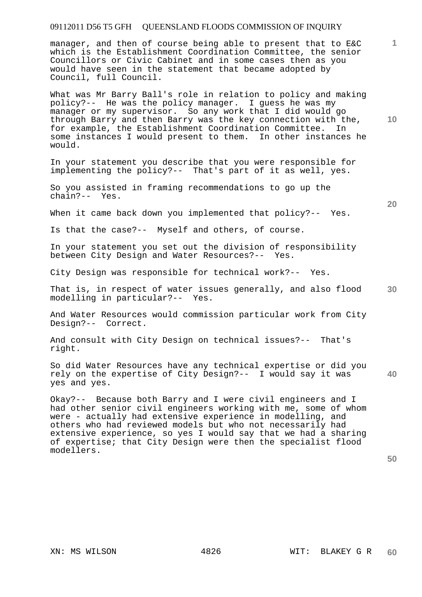manager, and then of course being able to present that to E&C which is the Establishment Coordination Committee, the senior Councillors or Civic Cabinet and in some cases then as you would have seen in the statement that became adopted by Council, full Council.

What was Mr Barry Ball's role in relation to policy and making policy?-- He was the policy manager. I guess he was my manager or my supervisor. So any work that I did would go through Barry and then Barry was the key connection with the, for example, the Establishment Coordination Committee. In some instances I would present to them. In other instances he would.

In your statement you describe that you were responsible for implementing the policy?-- That's part of it as well, yes.

So you assisted in framing recommendations to go up the chain?-- Yes.

When it came back down you implemented that policy?-- Yes.

Is that the case?-- Myself and others, of course.

In your statement you set out the division of responsibility between City Design and Water Resources?-- Yes.

City Design was responsible for technical work?-- Yes.

**30**  That is, in respect of water issues generally, and also flood modelling in particular?-- Yes.

And Water Resources would commission particular work from City Design?-- Correct.

And consult with City Design on technical issues?-- That's right.

**40**  So did Water Resources have any technical expertise or did you rely on the expertise of City Design?-- I would say it was yes and yes.

Okay?-- Because both Barry and I were civil engineers and I had other senior civil engineers working with me, some of whom were - actually had extensive experience in modelling, and others who had reviewed models but who not necessarily had extensive experience, so yes I would say that we had a sharing of expertise; that City Design were then the specialist flood modellers.

**50** 

**1**

**10**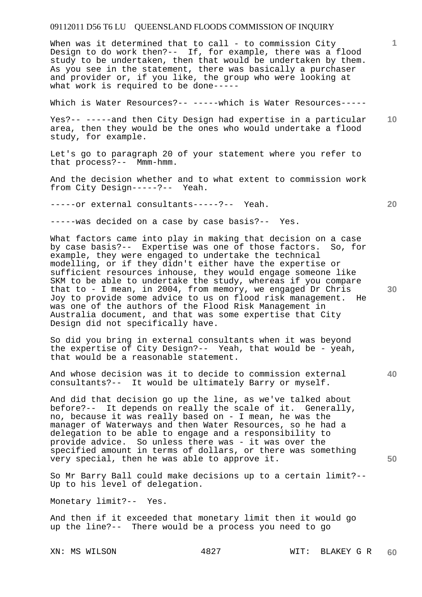When was it determined that to call - to commission City Design to do work then?-- If, for example, there was a flood study to be undertaken, then that would be undertaken by them. As you see in the statement, there was basically a purchaser and provider or, if you like, the group who were looking at what work is required to be done-----

Which is Water Resources?-- -----which is Water Resources-----

**10**  Yes?-- -----and then City Design had expertise in a particular area, then they would be the ones who would undertake a flood study, for example.

Let's go to paragraph 20 of your statement where you refer to that process?-- Mmm-hmm.

And the decision whether and to what extent to commission work from City Design-----?-- Yeah.

-----or external consultants-----?-- Yeah.

-----was decided on a case by case basis?-- Yes.

What factors came into play in making that decision on a case by case basis?-- Expertise was one of those factors. So, for example, they were engaged to undertake the technical modelling, or if they didn't either have the expertise or sufficient resources inhouse, they would engage someone like SKM to be able to undertake the study, whereas if you compare that to - I mean, in 2004, from memory, we engaged Dr Chris Joy to provide some advice to us on flood risk management. He was one of the authors of the Flood Risk Management in Australia document, and that was some expertise that City Design did not specifically have.

So did you bring in external consultants when it was beyond the expertise of City Design?-- Yeah, that would be - yeah, that would be a reasonable statement.

And whose decision was it to decide to commission external consultants?-- It would be ultimately Barry or myself.

And did that decision go up the line, as we've talked about before?-- It depends on really the scale of it. Generally, no, because it was really based on - I mean, he was the manager of Waterways and then Water Resources, so he had a delegation to be able to engage and a responsibility to provide advice. So unless there was - it was over the specified amount in terms of dollars, or there was something very special, then he was able to approve it.

So Mr Barry Ball could make decisions up to a certain limit?-- Up to his level of delegation.

Monetary limit?-- Yes.

And then if it exceeded that monetary limit then it would go up the line?-- There would be a process you need to go

**20** 

**40** 

**30**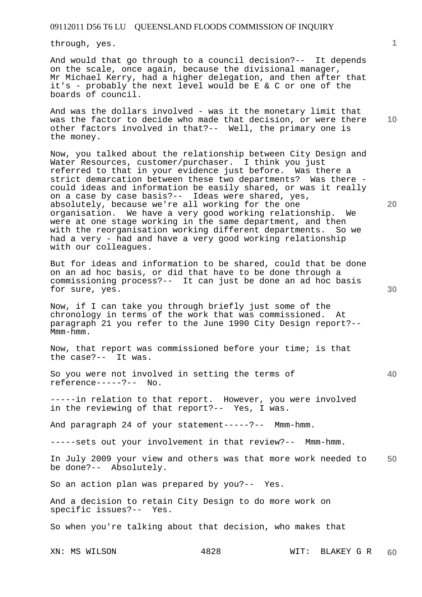through, yes.

And would that go through to a council decision?-- It depends on the scale, once again, because the divisional manager, Mr Michael Kerry, had a higher delegation, and then after that it's - probably the next level would be E & C or one of the boards of council.

**10**  And was the dollars involved - was it the monetary limit that was the factor to decide who made that decision, or were there other factors involved in that?-- Well, the primary one is the money.

Now, you talked about the relationship between City Design and Water Resources, customer/purchaser. I think you just referred to that in your evidence just before. Was there a strict demarcation between these two departments? Was there could ideas and information be easily shared, or was it really on a case by case basis?-- Ideas were shared, yes, absolutely, because we're all working for the one organisation. We have a very good working relationship. We were at one stage working in the same department, and then with the reorganisation working different departments. So we had a very - had and have a very good working relationship with our colleagues.

But for ideas and information to be shared, could that be done on an ad hoc basis, or did that have to be done through a commissioning process?-- It can just be done an ad hoc basis for sure, yes.

Now, if I can take you through briefly just some of the chronology in terms of the work that was commissioned. At paragraph 21 you refer to the June 1990 City Design report?-- Mmm-hmm.

Now, that report was commissioned before your time; is that the case?-- It was.

So you were not involved in setting the terms of reference-----?-- No.

-----in relation to that report. However, you were involved in the reviewing of that report?-- Yes, I was.

And paragraph 24 of your statement-----?-- Mmm-hmm.

-----sets out your involvement in that review?-- Mmm-hmm.

**50**  In July 2009 your view and others was that more work needed to be done?-- Absolutely.

So an action plan was prepared by you?-- Yes.

And a decision to retain City Design to do more work on specific issues?-- Yes.

So when you're talking about that decision, who makes that

**1**

**20** 

**30**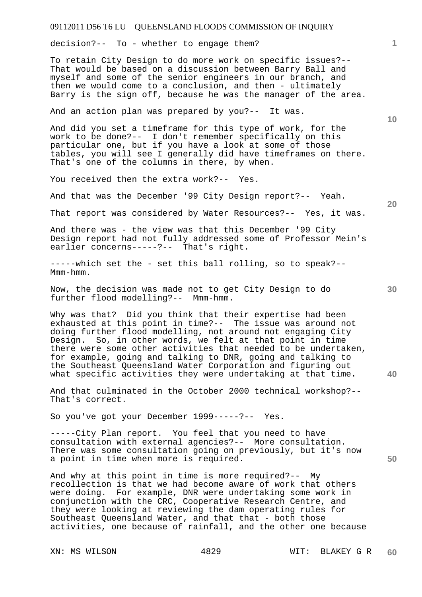decision?-- To - whether to engage them?

To retain City Design to do more work on specific issues?-- That would be based on a discussion between Barry Ball and myself and some of the senior engineers in our branch, and then we would come to a conclusion, and then - ultimately Barry is the sign off, because he was the manager of the area.

And an action plan was prepared by you?-- It was.

And did you set a timeframe for this type of work, for the work to be done?-- I don't remember specifically on this particular one, but if you have a look at some of those tables, you will see I generally did have timeframes on there. That's one of the columns in there, by when.

You received then the extra work?-- Yes.

And that was the December '99 City Design report?-- Yeah.

That report was considered by Water Resources?-- Yes, it was.

And there was - the view was that this December '99 City Design report had not fully addressed some of Professor Mein's earlier concerns-----?-- That's right.

-----which set the - set this ball rolling, so to speak?-- Mmm-hmm.

Now, the decision was made not to get City Design to do further flood modelling?-- Mmm-hmm.

Why was that? Did you think that their expertise had been exhausted at this point in time?-- The issue was around not doing further flood modelling, not around not engaging City Design. So, in other words, we felt at that point in time there were some other activities that needed to be undertaken, for example, going and talking to DNR, going and talking to the Southeast Queensland Water Corporation and figuring out what specific activities they were undertaking at that time.

And that culminated in the October 2000 technical workshop?-- That's correct.

So you've got your December 1999-----?-- Yes.

-----City Plan report. You feel that you need to have consultation with external agencies?-- More consultation. There was some consultation going on previously, but it's now a point in time when more is required.

And why at this point in time is more required?-- My recollection is that we had become aware of work that others were doing. For example, DNR were undertaking some work in conjunction with the CRC, Cooperative Research Centre, and they were looking at reviewing the dam operating rules for Southeast Queensland Water, and that that - both those activities, one because of rainfall, and the other one because

**10** 

**1**

**30** 

**40** 

**50**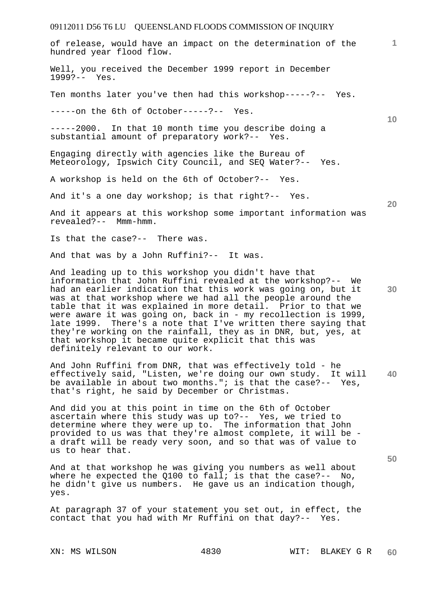**1** of release, would have an impact on the determination of the hundred year flood flow. Well, you received the December 1999 report in December 1999?-- Yes. Ten months later you've then had this workshop-----?-- Yes. -----on the 6th of October-----?-- Yes.

-----2000. In that 10 month time you describe doing a substantial amount of preparatory work?-- Yes.

Engaging directly with agencies like the Bureau of Meteorology, Ipswich City Council, and SEQ Water?-- Yes.

A workshop is held on the 6th of October?-- Yes.

And it's a one day workshop; is that right?-- Yes.

And it appears at this workshop some important information was revealed?-- Mmm-hmm.

Is that the case?-- There was.

And that was by a John Ruffini?-- It was.

**30**  And leading up to this workshop you didn't have that information that John Ruffini revealed at the workshop?-- We had an earlier indication that this work was going on, but it was at that workshop where we had all the people around the table that it was explained in more detail. Prior to that we were aware it was going on, back in - my recollection is 1999, late 1999. There's a note that I've written there saying that they're working on the rainfall, they as in DNR, but, yes, at that workshop it became quite explicit that this was definitely relevant to our work.

**40**  And John Ruffini from DNR, that was effectively told - he effectively said, "Listen, we're doing our own study. It will be available in about two months."; is that the case?-- Yes, that's right, he said by December or Christmas.

And did you at this point in time on the 6th of October ascertain where this study was up to?-- Yes, we tried to determine where they were up to. The information that John provided to us was that they're almost complete, it will be a draft will be ready very soon, and so that was of value to us to hear that.

And at that workshop he was giving you numbers as well about where he expected the  $Q100$  to fall; is that the case?-- No, he didn't give us numbers. He gave us an indication though, yes.

At paragraph 37 of your statement you set out, in effect, the contact that you had with Mr Ruffini on that day?-- Yes.

**10** 

**20**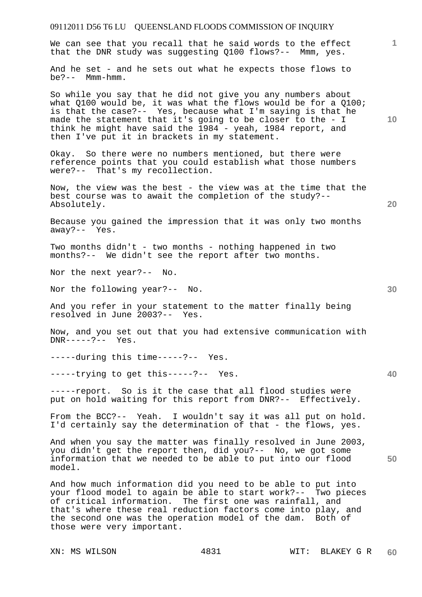| 1<br>10 <sup>°</sup><br>20<br>30<br>40<br>50 | 09112011 D56 T6 LU QUEENSLAND FLOODS COMMISSION OF INQUIRY                                                                                                                                                                                                                                                                                                                |  |
|----------------------------------------------|---------------------------------------------------------------------------------------------------------------------------------------------------------------------------------------------------------------------------------------------------------------------------------------------------------------------------------------------------------------------------|--|
|                                              | We can see that you recall that he said words to the effect<br>that the DNR study was suggesting Q100 flows?-- Mmm, yes.                                                                                                                                                                                                                                                  |  |
|                                              | And he set - and he sets out what he expects those flows to<br>$be? -- Mmm-hmm.$                                                                                                                                                                                                                                                                                          |  |
|                                              | So while you say that he did not give you any numbers about<br>what Q100 would be, it was what the flows would be for a Q100;<br>is that the case?-- Yes, because what I'm saying is that he<br>made the statement that it's going to be closer to the - I<br>think he might have said the 1984 - yeah, 1984 report, and<br>then I've put it in brackets in my statement. |  |
|                                              | Okay. So there were no numbers mentioned, but there were<br>reference points that you could establish what those numbers<br>were?-- That's my recollection.                                                                                                                                                                                                               |  |
|                                              | Now, the view was the best - the view was at the time that the<br>best course was to await the completion of the study?--<br>Absolutely.                                                                                                                                                                                                                                  |  |
|                                              | Because you gained the impression that it was only two months<br>away?-- Yes.                                                                                                                                                                                                                                                                                             |  |
|                                              | Two months didn't - two months - nothing happened in two<br>months?-- We didn't see the report after two months.                                                                                                                                                                                                                                                          |  |
|                                              | Nor the next year?-- No.                                                                                                                                                                                                                                                                                                                                                  |  |
|                                              | Nor the following year?-- No.                                                                                                                                                                                                                                                                                                                                             |  |
|                                              | And you refer in your statement to the matter finally being<br>resolved in June 2003?-- Yes.                                                                                                                                                                                                                                                                              |  |
|                                              | Now, and you set out that you had extensive communication with<br>$DNR---?--- Yes.$                                                                                                                                                                                                                                                                                       |  |
|                                              | -----during this time-----?-- Yes.                                                                                                                                                                                                                                                                                                                                        |  |
|                                              | -----trying to get this-----?-- Yes.                                                                                                                                                                                                                                                                                                                                      |  |
|                                              | -----report. So is it the case that all flood studies were<br>put on hold waiting for this report from DNR?-- Effectively.                                                                                                                                                                                                                                                |  |
|                                              | From the BCC?-- Yeah. I wouldn't say it was all put on hold.<br>I'd certainly say the determination of that - the flows, yes.                                                                                                                                                                                                                                             |  |
|                                              | And when you say the matter was finally resolved in June 2003,<br>you didn't get the report then, did you?-- No, we got some<br>information that we needed to be able to put into our flood<br>model.                                                                                                                                                                     |  |
|                                              | And how much information did you need to be able to put into<br>your flood model to again be able to start work?-- Two pieces<br>of critical information. The first one was rainfall, and<br>that's where these real reduction factors come into play, and<br>the second one was the operation model of the dam. Both of<br>those were very important.                    |  |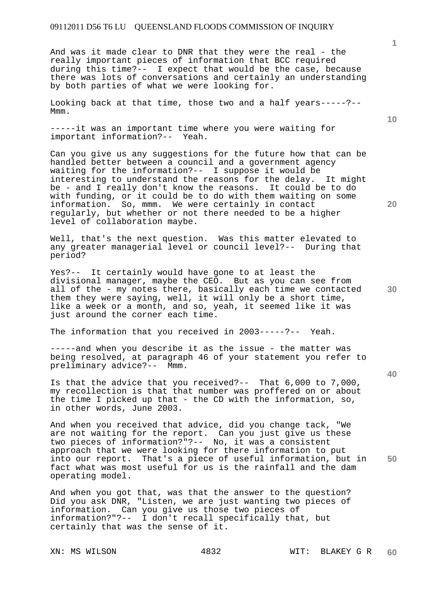And was it made clear to DNR that they were the real - the really important pieces of information that BCC required during this time?-- I expect that would be the case, because there was lots of conversations and certainly an understanding by both parties of what we were looking for.

Looking back at that time, those two and a half years-----?-- Mmm.

-----it was an important time where you were waiting for important information?-- Yeah.

Can you give us any suggestions for the future how that can be handled better between a council and a government agency waiting for the information?-- I suppose it would be interesting to understand the reasons for the delay. It might be - and I really don't know the reasons. It could be to do with funding, or it could be to do with them waiting on some information. So, mmm. We were certainly in contact regularly, but whether or not there needed to be a higher level of collaboration maybe.

Well, that's the next question. Was this matter elevated to any greater managerial level or council level?-- During that period?

Yes?-- It certainly would have gone to at least the divisional manager, maybe the CEO. But as you can see from all of the - my notes there, basically each time we contacted them they were saying, well, it will only be a short time, like a week or a month, and so, yeah, it seemed like it was just around the corner each time.

The information that you received in 2003-----?-- Yeah.

-----and when you describe it as the issue - the matter was being resolved, at paragraph 46 of your statement you refer to preliminary advice?-- Mmm.

Is that the advice that you received?-- That 6,000 to 7,000, my recollection is that that number was proffered on or about the time I picked up that - the CD with the information, so, in other words, June 2003.

**50**  And when you received that advice, did you change tack, "We are not waiting for the report. Can you just give us these two pieces of information?"?-- No, it was a consistent approach that we were looking for there information to put into our report. That's a piece of useful information, but in fact what was most useful for us is the rainfall and the dam operating model.

And when you got that, was that the answer to the question? Did you ask DNR, "Listen, we are just wanting two pieces of information. Can you give us those two pieces of information?"?-- I don't recall specifically that, but certainly that was the sense of it.

**10** 

**1**

**20**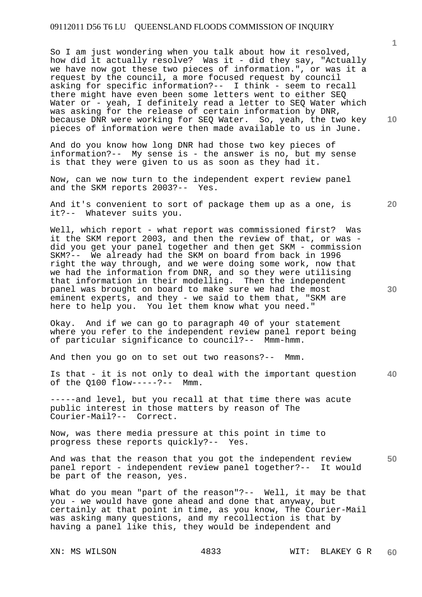So I am just wondering when you talk about how it resolved, how did it actually resolve? Was it - did they say, "Actually we have now got these two pieces of information.", or was it a request by the council, a more focused request by council asking for specific information?-- I think - seem to recall there might have even been some letters went to either SEQ Water or - yeah, I definitely read a letter to SEQ Water which was asking for the release of certain information by DNR, because DNR were working for SEQ Water. So, yeah, the two key pieces of information were then made available to us in June.

And do you know how long DNR had those two key pieces of information?-- My sense is - the answer is no, but my sense is that they were given to us as soon as they had it.

Now, can we now turn to the independent expert review panel and the SKM reports 2003?-- Yes.

And it's convenient to sort of package them up as a one, is it?-- Whatever suits you.

Well, which report - what report was commissioned first? Was it the SKM report 2003, and then the review of that, or was did you get your panel together and then get SKM - commission SKM?-- We already had the SKM on board from back in 1996 right the way through, and we were doing some work, now that we had the information from DNR, and so they were utilising that information in their modelling. Then the independent panel was brought on board to make sure we had the most eminent experts, and they - we said to them that, "SKM are here to help you. You let them know what you need."

Okay. And if we can go to paragraph 40 of your statement where you refer to the independent review panel report being of particular significance to council?-- Mmm-hmm.

And then you go on to set out two reasons?-- Mmm.

**40**  Is that - it is not only to deal with the important question of the Q100 flow-----?-- Mmm.

-----and level, but you recall at that time there was acute public interest in those matters by reason of The Courier-Mail?-- Correct.

Now, was there media pressure at this point in time to progress these reports quickly?-- Yes.

**50**  And was that the reason that you got the independent review panel report - independent review panel together?-- It would be part of the reason, yes.

What do you mean "part of the reason"?-- Well, it may be that you - we would have gone ahead and done that anyway, but certainly at that point in time, as you know, The Courier-Mail was asking many questions, and my recollection is that by having a panel like this, they would be independent and

**10** 

**1**

**20**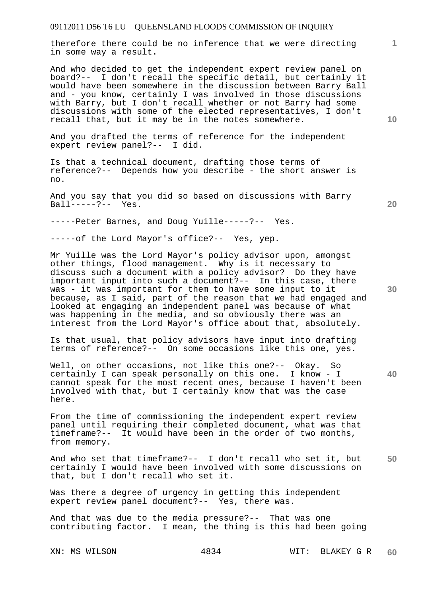therefore there could be no inference that we were directing in some way a result.

And who decided to get the independent expert review panel on board?-- I don't recall the specific detail, but certainly it would have been somewhere in the discussion between Barry Ball and - you know, certainly I was involved in those discussions with Barry, but I don't recall whether or not Barry had some discussions with some of the elected representatives, I don't recall that, but it may be in the notes somewhere.

And you drafted the terms of reference for the independent expert review panel?-- I did.

Is that a technical document, drafting those terms of reference?-- Depends how you describe - the short answer is no.

And you say that you did so based on discussions with Barry Ball-----?-- Yes.

-----Peter Barnes, and Doug Yuille-----?-- Yes.

-----of the Lord Mayor's office?-- Yes, yep.

Mr Yuille was the Lord Mayor's policy advisor upon, amongst other things, flood management. Why is it necessary to discuss such a document with a policy advisor? Do they have important input into such a document?-- In this case, there was - it was important for them to have some input to it because, as I said, part of the reason that we had engaged and looked at engaging an independent panel was because of what was happening in the media, and so obviously there was an interest from the Lord Mayor's office about that, absolutely.

Is that usual, that policy advisors have input into drafting terms of reference?-- On some occasions like this one, yes.

Well, on other occasions, not like this one?-- Okay. So certainly I can speak personally on this one. I know - I cannot speak for the most recent ones, because I haven't been involved with that, but I certainly know that was the case here.

From the time of commissioning the independent expert review panel until requiring their completed document, what was that timeframe?-- It would have been in the order of two months, from memory.

**50**  And who set that timeframe?-- I don't recall who set it, but certainly I would have been involved with some discussions on that, but I don't recall who set it.

Was there a degree of urgency in getting this independent expert review panel document?-- Yes, there was.

And that was due to the media pressure?-- That was one contributing factor. I mean, the thing is this had been going

**10** 

**1**

**20**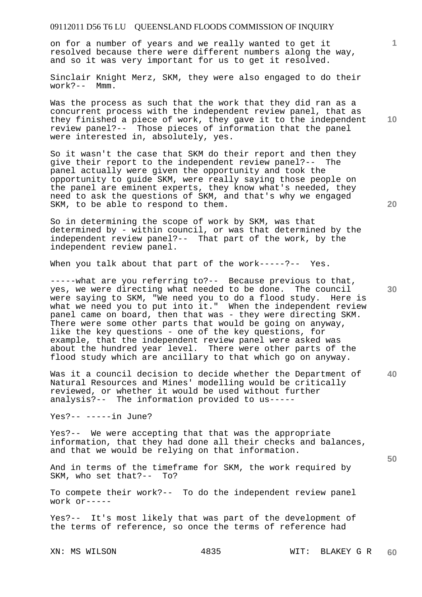on for a number of years and we really wanted to get it resolved because there were different numbers along the way, and so it was very important for us to get it resolved.

Sinclair Knight Merz, SKM, they were also engaged to do their work?-- Mmm.

Was the process as such that the work that they did ran as a concurrent process with the independent review panel, that as they finished a piece of work, they gave it to the independent review panel?-- Those pieces of information that the panel were interested in, absolutely, yes.

So it wasn't the case that SKM do their report and then they give their report to the independent review panel?-- The panel actually were given the opportunity and took the opportunity to guide SKM, were really saying those people on the panel are eminent experts, they know what's needed, they need to ask the questions of SKM, and that's why we engaged SKM, to be able to respond to them.

So in determining the scope of work by SKM, was that determined by - within council, or was that determined by the independent review panel?-- That part of the work, by the independent review panel.

When you talk about that part of the work-----?-- Yes.

-----what are you referring to?-- Because previous to that, yes, we were directing what needed to be done. The council were saying to SKM, "We need you to do a flood study. Here is what we need you to put into it." When the independent review panel came on board, then that was - they were directing SKM. There were some other parts that would be going on anyway, like the key questions - one of the key questions, for example, that the independent review panel were asked was about the hundred year level. There were other parts of the flood study which are ancillary to that which go on anyway.

**40**  Was it a council decision to decide whether the Department of Natural Resources and Mines' modelling would be critically reviewed, or whether it would be used without further analysis?-- The information provided to us-----

Yes?-- -----in June?

Yes?-- We were accepting that that was the appropriate information, that they had done all their checks and balances, and that we would be relying on that information.

And in terms of the timeframe for SKM, the work required by SKM, who set that?-- To? SKM, who set that?--

To compete their work?-- To do the independent review panel work or-----

Yes?-- It's most likely that was part of the development of the terms of reference, so once the terms of reference had

**10** 

**1**

**20**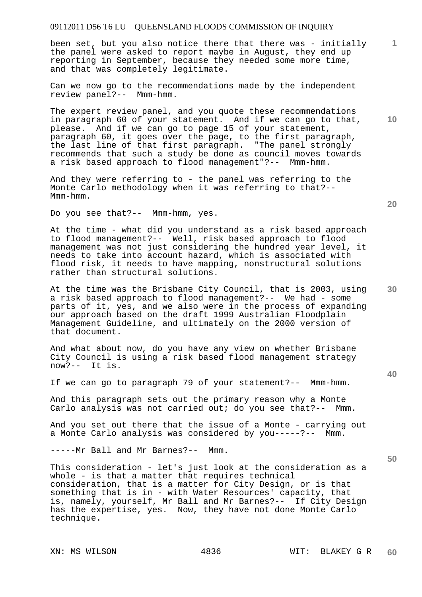been set, but you also notice there that there was - initially the panel were asked to report maybe in August, they end up reporting in September, because they needed some more time, and that was completely legitimate.

Can we now go to the recommendations made by the independent review panel?-- Mmm-hmm.

The expert review panel, and you quote these recommendations in paragraph 60 of your statement. And if we can go to that, please. And if we can go to page 15 of your statement, paragraph 60, it goes over the page, to the first paragraph, the last line of that first paragraph. "The panel strongly recommends that such a study be done as council moves towards a risk based approach to flood management"?-- Mmm-hmm.

And they were referring to - the panel was referring to the Monte Carlo methodology when it was referring to that?-- Mmm-hmm.

Do you see that?-- Mmm-hmm, yes.

At the time - what did you understand as a risk based approach to flood management?-- Well, risk based approach to flood management was not just considering the hundred year level, it needs to take into account hazard, which is associated with flood risk, it needs to have mapping, nonstructural solutions rather than structural solutions.

At the time was the Brisbane City Council, that is 2003, using a risk based approach to flood management?-- We had - some parts of it, yes, and we also were in the process of expanding our approach based on the draft 1999 Australian Floodplain Management Guideline, and ultimately on the 2000 version of that document.

And what about now, do you have any view on whether Brisbane City Council is using a risk based flood management strategy now?-- It is.

If we can go to paragraph 79 of your statement?-- Mmm-hmm.

And this paragraph sets out the primary reason why a Monte Carlo analysis was not carried out; do you see that?-- Mmm.

And you set out there that the issue of a Monte - carrying out a Monte Carlo analysis was considered by you-----?-- Mmm.

-----Mr Ball and Mr Barnes?-- Mmm.

This consideration - let's just look at the consideration as a whole - is that a matter that requires technical consideration, that is a matter for City Design, or is that something that is in - with Water Resources' capacity, that is, namely, yourself, Mr Ball and Mr Barnes?-- If City Design has the expertise, yes. Now, they have not done Monte Carlo technique.

**20** 

**1**

**10** 

**40** 

**50**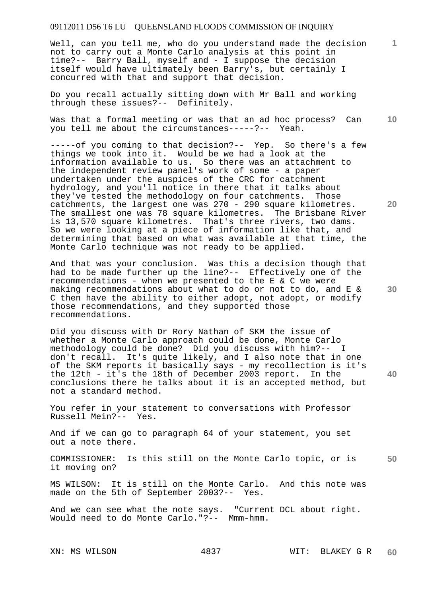Well, can you tell me, who do you understand made the decision not to carry out a Monte Carlo analysis at this point in time?-- Barry Ball, myself and - I suppose the decision itself would have ultimately been Barry's, but certainly I concurred with that and support that decision.

Do you recall actually sitting down with Mr Ball and working through these issues?-- Definitely.

**10**  Was that a formal meeting or was that an ad hoc process? Can you tell me about the circumstances-----?-- Yeah.

-----of you coming to that decision?-- Yep. So there's a few things we took into it. Would be we had a look at the information available to us. So there was an attachment to the independent review panel's work of some - a paper undertaken under the auspices of the CRC for catchment hydrology, and you'll notice in there that it talks about they've tested the methodology on four catchments. Those catchments, the largest one was 270 - 290 square kilometres. The smallest one was 78 square kilometres. The Brisbane River is 13,570 square kilometres. That's three rivers, two dams. So we were looking at a piece of information like that, and determining that based on what was available at that time, the Monte Carlo technique was not ready to be applied.

And that was your conclusion. Was this a decision though that had to be made further up the line?-- Effectively one of the recommendations - when we presented to the E & C we were making recommendations about what to do or not to do, and E & C then have the ability to either adopt, not adopt, or modify those recommendations, and they supported those recommendations.

Did you discuss with Dr Rory Nathan of SKM the issue of whether a Monte Carlo approach could be done, Monte Carlo methodology could be done? Did you discuss with him?-- I don't recall. It's quite likely, and I also note that in one of the SKM reports it basically says - my recollection is it's the 12th - it's the 18th of December 2003 report. In the conclusions there he talks about it is an accepted method, but not a standard method.

You refer in your statement to conversations with Professor Russell Mein?-- Yes.

And if we can go to paragraph 64 of your statement, you set out a note there.

**50**  COMMISSIONER: Is this still on the Monte Carlo topic, or is it moving on?

MS WILSON: It is still on the Monte Carlo. And this note was made on the 5th of September 2003?-- Yes.

And we can see what the note says. "Current DCL about right. Would need to do Monte Carlo."?-- Mmm-hmm.

**20** 

**1**

**40**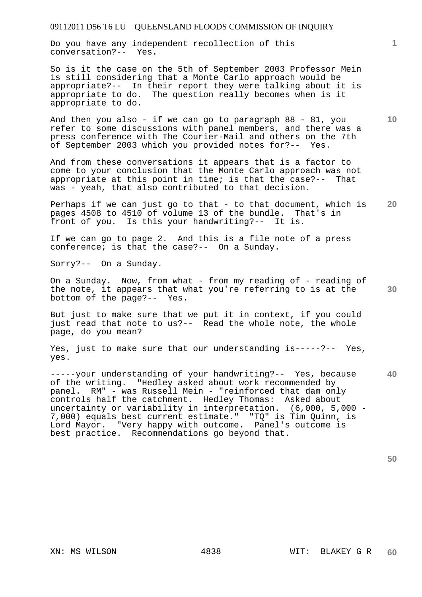Do you have any independent recollection of this conversation?-- Yes.

So is it the case on the 5th of September 2003 Professor Mein is still considering that a Monte Carlo approach would be appropriate?-- In their report they were talking about it is appropriate to do. The question really becomes when is it appropriate to do.

And then you also - if we can go to paragraph 88 - 81, you refer to some discussions with panel members, and there was a press conference with The Courier-Mail and others on the 7th of September 2003 which you provided notes for?-- Yes.

And from these conversations it appears that is a factor to come to your conclusion that the Monte Carlo approach was not appropriate at this point in time; is that the case?-- That was - yeah, that also contributed to that decision.

**20**  Perhaps if we can just go to that - to that document, which is pages 4508 to 4510 of volume 13 of the bundle. That's in front of you. Is this your handwriting?-- It is.

If we can go to page 2. And this is a file note of a press conference; is that the case?-- On a Sunday.

Sorry?-- On a Sunday.

**30**  On a Sunday. Now, from what - from my reading of - reading of the note, it appears that what you're referring to is at the bottom of the page?-- Yes.

But just to make sure that we put it in context, if you could just read that note to us?-- Read the whole note, the whole page, do you mean?

Yes, just to make sure that our understanding is-----?-- Yes, yes.

**40**  -----your understanding of your handwriting?-- Yes, because of the writing. "Hedley asked about work recommended by panel. RM" - was Russell Mein - "reinforced that dam only controls half the catchment. Hedley Thomas: Asked about uncertainty or variability in interpretation. (6,000, 5,000 - 7,000) equals best current estimate." "TQ" is Tim Quinn, is Lord Mayor. "Very happy with outcome. Panel's outcome is best practice. Recommendations go beyond that.

**50** 

**1**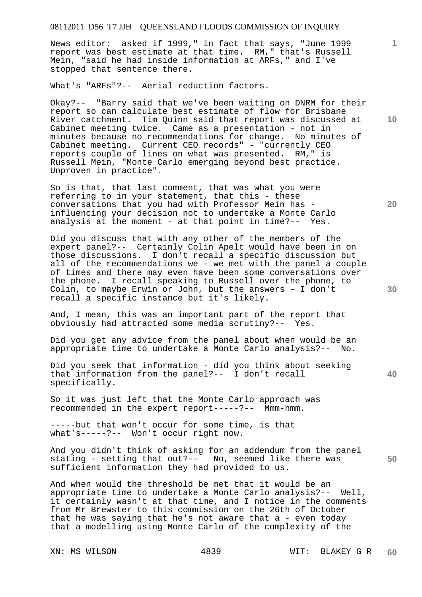News editor: asked if 1999," in fact that says, "June 1999 report was best estimate at that time. RM," that's Russell Mein, "said he had inside information at ARFs," and I've stopped that sentence there.

What's "ARFs"?-- Aerial reduction factors.

Okay?-- "Barry said that we've been waiting on DNRM for their report so can calculate best estimate of flow for Brisbane River catchment. Tim Quinn said that report was discussed at Cabinet meeting twice. Came as a presentation - not in minutes because no recommendations for change. No minutes of Cabinet meeting. Current CEO records" - "currently CEO reports couple of lines on what was presented. RM," is Russell Mein, "Monte Carlo emerging beyond best practice. Unproven in practice".

So is that, that last comment, that was what you were referring to in your statement, that this - these conversations that you had with Professor Mein has influencing your decision not to undertake a Monte Carlo analysis at the moment - at that point in time?-- Yes.

Did you discuss that with any other of the members of the expert panel?-- Certainly Colin Apelt would have been in on those discussions. I don't recall a specific discussion but all of the recommendations we - we met with the panel a couple of times and there may even have been some conversations over the phone. I recall speaking to Russell over the phone, to Colin, to maybe Erwin or John, but the answers - I don't recall a specific instance but it's likely.

And, I mean, this was an important part of the report that obviously had attracted some media scrutiny?-- Yes.

Did you get any advice from the panel about when would be an appropriate time to undertake a Monte Carlo analysis?-- No.

Did you seek that information - did you think about seeking that information from the panel?-- I don't recall specifically.

So it was just left that the Monte Carlo approach was recommended in the expert report-----?-- Mmm-hmm.

-----but that won't occur for some time, is that what's-----?-- Won't occur right now.

**50**  And you didn't think of asking for an addendum from the panel stating - setting that out?-- No, seemed like there was sufficient information they had provided to us.

And when would the threshold be met that it would be an appropriate time to undertake a Monte Carlo analysis?-- Well, it certainly wasn't at that time, and I notice in the comments from Mr Brewster to this commission on the 26th of October that he was saying that he's not aware that a - even today that a modelling using Monte Carlo of the complexity of the

**10** 

**1**

**20**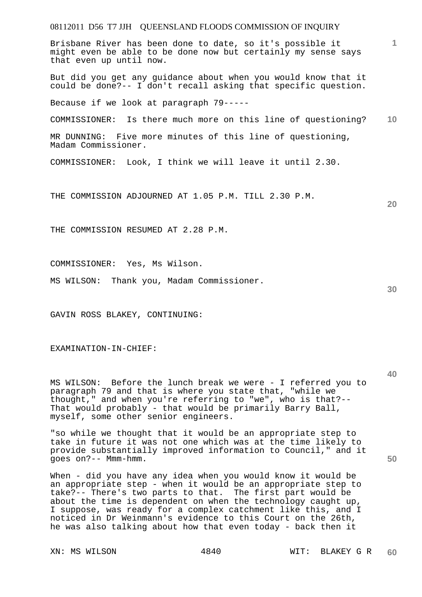## 08112011 D56 T7 JJH QUEENSLAND FLOODS COMMISSION OF INQUIRY **1 10 20**  Brisbane River has been done to date, so it's possible it might even be able to be done now but certainly my sense says that even up until now. But did you get any guidance about when you would know that it could be done?-- I don't recall asking that specific question. Because if we look at paragraph 79----- COMMISSIONER: Is there much more on this line of questioning? MR DUNNING: Five more minutes of this line of questioning, Madam Commissioner. COMMISSIONER: Look, I think we will leave it until 2.30. THE COMMISSION ADJOURNED AT 1.05 P.M. TILL 2.30 P.M. THE COMMISSION RESUMED AT 2.28 P.M.

COMMISSIONER: Yes, Ms Wilson.

MS WILSON: Thank you, Madam Commissioner.

GAVIN ROSS BLAKEY, CONTINUING:

#### EXAMINATION-IN-CHIEF:

MS WILSON: Before the lunch break we were - I referred you to paragraph 79 and that is where you state that, "while we thought," and when you're referring to "we", who is that?-- That would probably - that would be primarily Barry Ball, myself, some other senior engineers.

"so while we thought that it would be an appropriate step to take in future it was not one which was at the time likely to provide substantially improved information to Council," and it goes on?-- Mmm-hmm.

When - did you have any idea when you would know it would be an appropriate step - when it would be an appropriate step to take?-- There's two parts to that. The first part would be about the time is dependent on when the technology caught up, I suppose, was ready for a complex catchment like this, and I noticed in Dr Weinmann's evidence to this Court on the 26th, he was also talking about how that even today - back then it

**40**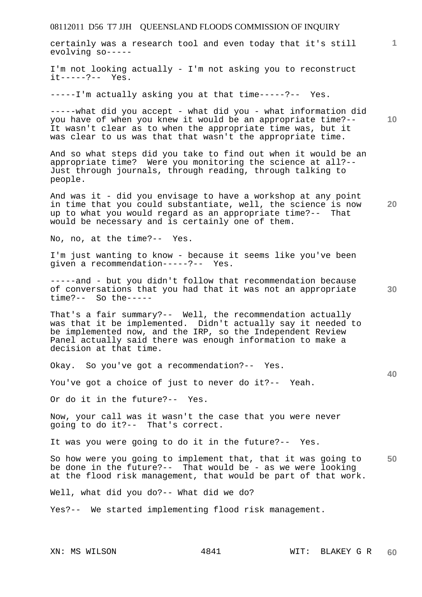certainly was a research tool and even today that it's still evolving so-----

I'm not looking actually - I'm not asking you to reconstruct it-----?-- Yes.

-----I'm actually asking you at that time-----?-- Yes.

-----what did you accept - what did you - what information did you have of when you knew it would be an appropriate time?-- It wasn't clear as to when the appropriate time was, but it was clear to us was that that wasn't the appropriate time.

And so what steps did you take to find out when it would be an appropriate time? Were you monitoring the science at all?-- Just through journals, through reading, through talking to people.

**20**  And was it - did you envisage to have a workshop at any point in time that you could substantiate, well, the science is now up to what you would regard as an appropriate time?-- That would be necessary and is certainly one of them.

No, no, at the time?-- Yes.

I'm just wanting to know - because it seems like you've been given a recommendation-----?-- Yes.

-----and - but you didn't follow that recommendation because of conversations that you had that it was not an appropriate time?-- So the-----

That's a fair summary?-- Well, the recommendation actually was that it be implemented. Didn't actually say it needed to be implemented now, and the IRP, so the Independent Review Panel actually said there was enough information to make a decision at that time.

Okay. So you've got a recommendation?-- Yes.

You've got a choice of just to never do it?-- Yeah.

Or do it in the future?-- Yes.

Now, your call was it wasn't the case that you were never going to do it?-- That's correct.

It was you were going to do it in the future?-- Yes.

**50**  So how were you going to implement that, that it was going to be done in the future?-- That would be - as we were looking at the flood risk management, that would be part of that work.

Well, what did you do?-- What did we do?

Yes?-- We started implementing flood risk management.

**10** 

**1**

**30**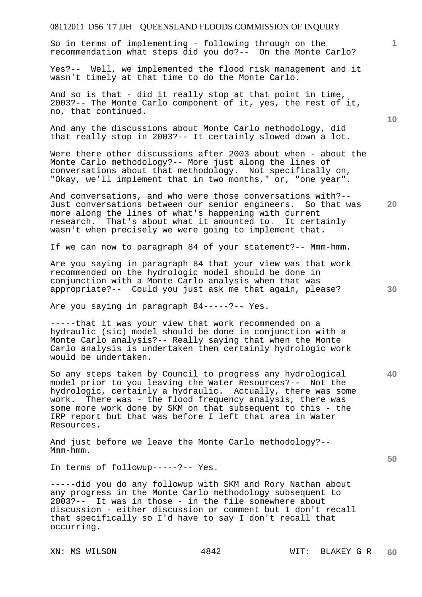So in terms of implementing - following through on the recommendation what steps did you do?-- On the Monte Carlo?

Yes?-- Well, we implemented the flood risk management and it wasn't timely at that time to do the Monte Carlo.

And so is that - did it really stop at that point in time, 2003?-- The Monte Carlo component of it, yes, the rest of it, no, that continued.

And any the discussions about Monte Carlo methodology, did that really stop in 2003?-- It certainly slowed down a lot.

Were there other discussions after 2003 about when - about the Monte Carlo methodology?-- More just along the lines of conversations about that methodology. Not specifically on, "Okay, we'll implement that in two months," or, "one year".

And conversations, and who were those conversations with?-- Just conversations between our senior engineers. So that was more along the lines of what's happening with current research. That's about what it amounted to. It cert. That's about what it amounted to. It certainly wasn't when precisely we were going to implement that.

If we can now to paragraph 84 of your statement?-- Mmm-hmm.

Are you saying in paragraph 84 that your view was that work recommended on the hydrologic model should be done in conjunction with a Monte Carlo analysis when that was appropriate?-- Could you just ask me that again, please?

Are you saying in paragraph 84-----?-- Yes.

-----that it was your view that work recommended on a hydraulic (sic) model should be done in conjunction with a Monte Carlo analysis?-- Really saying that when the Monte Carlo analysis is undertaken then certainly hydrologic work would be undertaken.

So any steps taken by Council to progress any hydrological model prior to you leaving the Water Resources?-- Not the hydrologic, certainly a hydraulic. Actually, there was some work. There was - the flood frequency analysis, there was some more work done by SKM on that subsequent to this - the IRP report but that was before I left that area in Water Resources.

And just before we leave the Monte Carlo methodology?-- Mmm-hmm.

In terms of followup-----?-- Yes.

-----did you do any followup with SKM and Rory Nathan about any progress in the Monte Carlo methodology subsequent to 2003?-- It was in those - in the file somewhere about discussion - either discussion or comment but I don't recall that specifically so I'd have to say I don't recall that occurring.

**10** 

**1**

**30** 

**20** 

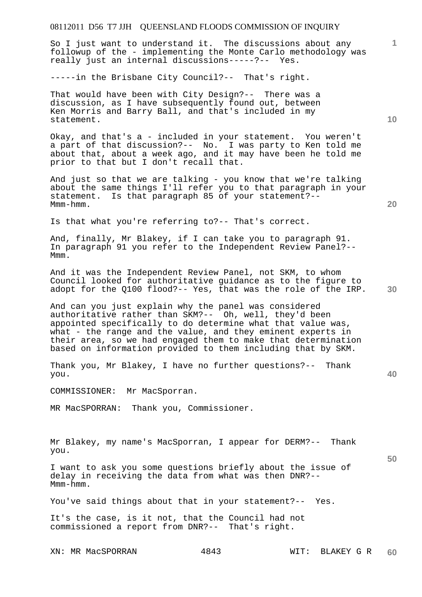So I just want to understand it. The discussions about any followup of the - implementing the Monte Carlo methodology was really just an internal discussions-----?-- Yes.

-----in the Brisbane City Council?-- That's right.

That would have been with City Design?-- There was a discussion, as I have subsequently found out, between Ken Morris and Barry Ball, and that's included in my statement.

Okay, and that's a - included in your statement. You weren't a part of that discussion?-- No. I was party to Ken told me about that, about a week ago, and it may have been he told me prior to that but I don't recall that.

And just so that we are talking - you know that we're talking about the same things I'll refer you to that paragraph in your statement. Is that paragraph 85 of your statement?-- Mmm-hmm.

Is that what you're referring to?-- That's correct.

And, finally, Mr Blakey, if I can take you to paragraph 91. In paragraph 91 you refer to the Independent Review Panel?-- Mmm.

And it was the Independent Review Panel, not SKM, to whom Council looked for authoritative guidance as to the figure to adopt for the Q100 flood?-- Yes, that was the role of the IRP.

And can you just explain why the panel was considered authoritative rather than SKM?-- Oh, well, they'd been appointed specifically to do determine what that value was, what - the range and the value, and they eminent experts in their area, so we had engaged them to make that determination based on information provided to them including that by SKM.

Thank you, Mr Blakey, I have no further questions?-- Thank you.

COMMISSIONER: Mr MacSporran.

MR MacSPORRAN: Thank you, Commissioner.

Mr Blakey, my name's MacSporran, I appear for DERM?-- Thank you.

I want to ask you some questions briefly about the issue of delay in receiving the data from what was then DNR?-- Mmm-hmm.

You've said things about that in your statement?-- Yes.

It's the case, is it not, that the Council had not commissioned a report from DNR?-- That's right.

**10** 

**1**

**20** 

**30** 

**40**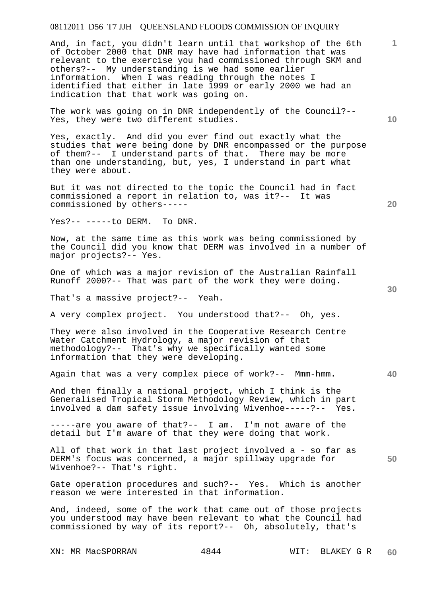And, in fact, you didn't learn until that workshop of the 6th of October 2000 that DNR may have had information that was relevant to the exercise you had commissioned through SKM and others?-- My understanding is we had some earlier information. When I was reading through the notes I identified that either in late 1999 or early 2000 we had an indication that that work was going on.

The work was going on in DNR independently of the Council?-- Yes, they were two different studies.

Yes, exactly. And did you ever find out exactly what the studies that were being done by DNR encompassed or the purpose of them?-- I understand parts of that. There may be more than one understanding, but, yes, I understand in part what they were about.

But it was not directed to the topic the Council had in fact commissioned a report in relation to, was it?-- It was commissioned by others-----

Yes?-- -----to DERM. To DNR.

Now, at the same time as this work was being commissioned by the Council did you know that DERM was involved in a number of major projects?-- Yes.

One of which was a major revision of the Australian Rainfall Runoff 2000?-- That was part of the work they were doing.

That's a massive project?-- Yeah.

A very complex project. You understood that?-- Oh, yes.

They were also involved in the Cooperative Research Centre Water Catchment Hydrology, a major revision of that methodology?-- That's why we specifically wanted some information that they were developing.

Again that was a very complex piece of work?-- Mmm-hmm.

And then finally a national project, which I think is the Generalised Tropical Storm Methodology Review, which in part involved a dam safety issue involving Wivenhoe-----?-- Yes.

-----are you aware of that?-- I am. I'm not aware of the detail but I'm aware of that they were doing that work.

All of that work in that last project involved a - so far as DERM's focus was concerned, a major spillway upgrade for Wivenhoe?-- That's right.

Gate operation procedures and such?-- Yes. Which is another reason we were interested in that information.

And, indeed, some of the work that came out of those projects you understood may have been relevant to what the Council had commissioned by way of its report?-- Oh, absolutely, that's

XN: MR MacSPORRAN 4844 WIT: BLAKEY G R

**10** 

**1**

**30** 

**20**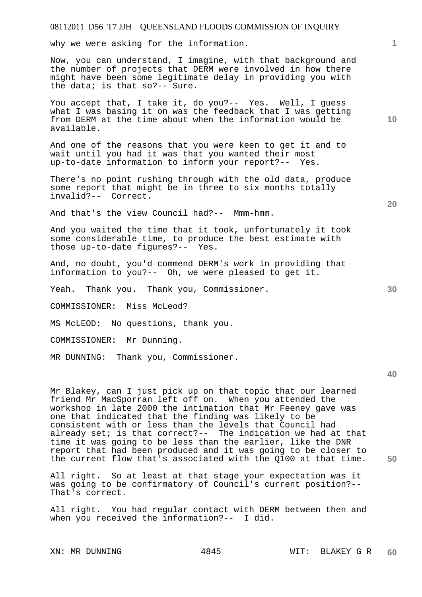why we were asking for the information.

Now, you can understand, I imagine, with that background and the number of projects that DERM were involved in how there might have been some legitimate delay in providing you with the data; is that so?-- Sure.

You accept that, I take it, do you?-- Yes. Well, I guess what I was basing it on was the feedback that I was getting from DERM at the time about when the information would be available.

And one of the reasons that you were keen to get it and to wait until you had it was that you wanted their most up-to-date information to inform your report?-- Yes.

There's no point rushing through with the old data, produce some report that might be in three to six months totally invalid?-- Correct.

And that's the view Council had?-- Mmm-hmm.

And you waited the time that it took, unfortunately it took some considerable time, to produce the best estimate with those up-to-date figures?-- Yes.

And, no doubt, you'd commend DERM's work in providing that information to you?-- Oh, we were pleased to get it.

Yeah. Thank you. Thank you, Commissioner.

COMMISSIONER: Miss McLeod?

MS McLEOD: No questions, thank you.

COMMISSIONER: Mr Dunning.

MR DUNNING: Thank you, Commissioner.

**40** 

**50** 

Mr Blakey, can I just pick up on that topic that our learned friend Mr MacSporran left off on. When you attended the workshop in late 2000 the intimation that Mr Feeney gave was one that indicated that the finding was likely to be consistent with or less than the levels that Council had already set; is that correct?-- The indication we had at that time it was going to be less than the earlier, like the DNR report that had been produced and it was going to be closer to the current flow that's associated with the Q100 at that time.

All right. So at least at that stage your expectation was it was going to be confirmatory of Council's current position?-- That's correct.

All right. You had regular contact with DERM between then and when you received the information?-- I did.

**20** 

**30**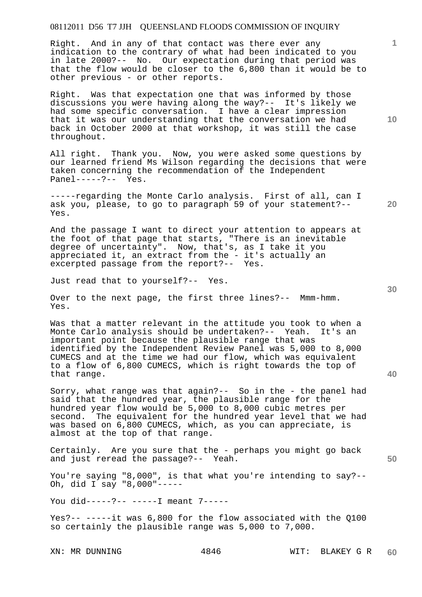Right. And in any of that contact was there ever any indication to the contrary of what had been indicated to you in late 2000?-- No. Our expectation during that period was that the flow would be closer to the 6,800 than it would be to other previous - or other reports.

Right. Was that expectation one that was informed by those discussions you were having along the way?-- It's likely we had some specific conversation. I have a clear impression that it was our understanding that the conversation we had back in October 2000 at that workshop, it was still the case throughout.

All right. Thank you. Now, you were asked some questions by our learned friend Ms Wilson regarding the decisions that were taken concerning the recommendation of the Independent Panel-----?-- Yes.

-----regarding the Monte Carlo analysis. First of all, can I ask you, please, to go to paragraph 59 of your statement?-- Yes.

And the passage I want to direct your attention to appears at the foot of that page that starts, "There is an inevitable degree of uncertainty". Now, that's, as I take it you appreciated it, an extract from the - it's actually an excerpted passage from the report?-- Yes.

Just read that to yourself?-- Yes.

Over to the next page, the first three lines?-- Mmm-hmm. Yes.

Was that a matter relevant in the attitude you took to when a Monte Carlo analysis should be undertaken?-- Yeah. It's an important point because the plausible range that was identified by the Independent Review Panel was 5,000 to 8,000 CUMECS and at the time we had our flow, which was equivalent to a flow of 6,800 CUMECS, which is right towards the top of that range.

Sorry, what range was that again?-- So in the - the panel had said that the hundred year, the plausible range for the hundred year flow would be 5,000 to 8,000 cubic metres per second. The equivalent for the hundred year level that we had was based on 6,800 CUMECS, which, as you can appreciate, is almost at the top of that range.

Certainly. Are you sure that the - perhaps you might go back and just reread the passage?-- Yeah.

You're saying "8,000", is that what you're intending to say?-- Oh, did I say "8,000"-----

You did-----?-- -----I meant 7-----

Yes?-- -----it was 6,800 for the flow associated with the Q100 so certainly the plausible range was 5,000 to 7,000.

**10** 

**1**

**30** 

**20** 

**40**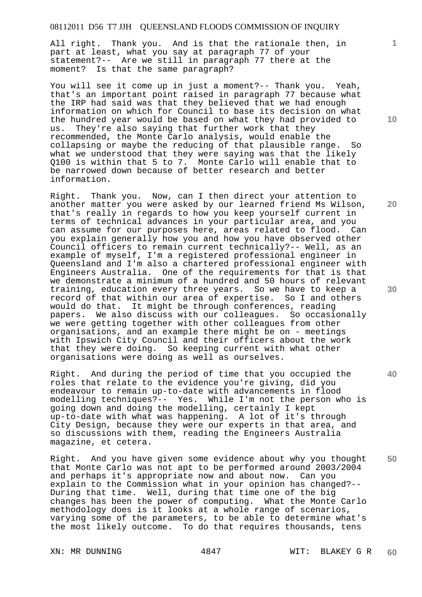All right. Thank you. And is that the rationale then, in part at least, what you say at paragraph 77 of your statement?-- Are we still in paragraph 77 there at the moment? Is that the same paragraph?

You will see it come up in just a moment?-- Thank you. Yeah, that's an important point raised in paragraph 77 because what the IRP had said was that they believed that we had enough information on which for Council to base its decision on what the hundred year would be based on what they had provided to us. They're also saying that further work that they recommended, the Monte Carlo analysis, would enable the collapsing or maybe the reducing of that plausible range. So what we understood that they were saying was that the likely Q100 is within that 5 to 7. Monte Carlo will enable that to be narrowed down because of better research and better information.

Right. Thank you. Now, can I then direct your attention to another matter you were asked by our learned friend Ms Wilson, that's really in regards to how you keep yourself current in terms of technical advances in your particular area, and you can assume for our purposes here, areas related to flood. Can you explain generally how you and how you have observed other Council officers to remain current technically?-- Well, as an example of myself, I'm a registered professional engineer in Queensland and I'm also a chartered professional engineer with Engineers Australia. One of the requirements for that is that we demonstrate a minimum of a hundred and 50 hours of relevant training, education every three years. So we have to keep a record of that within our area of expertise. So I and others would do that. It might be through conferences, reading papers. We also discuss with our colleagues. So occasionally we were getting together with other colleagues from other organisations, and an example there might be on - meetings with Ipswich City Council and their officers about the work that they were doing. So keeping current with what other organisations were doing as well as ourselves.

Right. And during the period of time that you occupied the roles that relate to the evidence you're giving, did you endeavour to remain up-to-date with advancements in flood modelling techniques?-- Yes. While I'm not the person who is going down and doing the modelling, certainly I kept up-to-date with what was happening. A lot of it's through City Design, because they were our experts in that area, and so discussions with them, reading the Engineers Australia magazine, et cetera.

Right. And you have given some evidence about why you thought that Monte Carlo was not apt to be performed around 2003/2004 and perhaps it's appropriate now and about now. Can you explain to the Commission what in your opinion has changed?-- During that time. Well, during that time one of the big changes has been the power of computing. What the Monte Carlo methodology does is it looks at a whole range of scenarios, varying some of the parameters, to be able to determine what's the most likely outcome. To do that requires thousands, tens

**10** 

**1**

**20** 

**30** 

**40**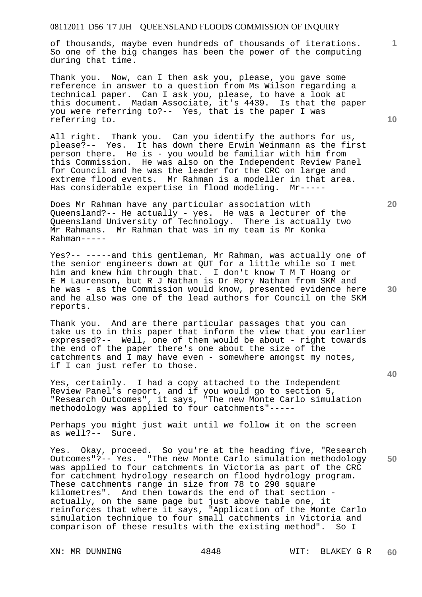of thousands, maybe even hundreds of thousands of iterations. So one of the big changes has been the power of the computing during that time.

Thank you. Now, can I then ask you, please, you gave some reference in answer to a question from Ms Wilson regarding a technical paper. Can I ask you, please, to have a look at this document. Madam Associate, it's 4439. Is that the paper you were referring to?-- Yes, that is the paper I was referring to.

All right. Thank you. Can you identify the authors for us, please?-- Yes. It has down there Erwin Weinmann as the first person there. He is - you would be familiar with him from this Commission. He was also on the Independent Review Panel for Council and he was the leader for the CRC on large and extreme flood events. Mr Rahman is a modeller in that area. Has considerable expertise in flood modeling. Mr-----

Does Mr Rahman have any particular association with Queensland?-- He actually - yes. He was a lecturer of the Queensland University of Technology. There is actually two Mr Rahmans. Mr Rahman that was in my team is Mr Konka Rahman-----

Yes?-- -----and this gentleman, Mr Rahman, was actually one of the senior engineers down at QUT for a little while so I met him and knew him through that. I don't know T M T Hoang or E M Laurenson, but R J Nathan is Dr Rory Nathan from SKM and he was - as the Commission would know, presented evidence here and he also was one of the lead authors for Council on the SKM reports.

Thank you. And are there particular passages that you can take us to in this paper that inform the view that you earlier expressed?-- Well, one of them would be about - right towards the end of the paper there's one about the size of the catchments and  $I$  may have even - somewhere amongst my notes, if I can just refer to those.

Yes, certainly. I had a copy attached to the Independent Review Panel's report, and if you would go to section 5, "Research Outcomes", it says, "The new Monte Carlo simulation methodology was applied to four catchments"-----

Perhaps you might just wait until we follow it on the screen as well?-- Sure.

Yes. Okay, proceed. So you're at the heading five, "Research Outcomes"?-- Yes. "The new Monte Carlo simulation methodology was applied to four catchments in Victoria as part of the CRC for catchment hydrology research on flood hydrology program. These catchments range in size from 78 to 290 square kilometres". And then towards the end of that section actually, on the same page but just above table one, it reinforces that where it says, "Application of the Monte Carlo simulation technique to four small catchments in Victoria and comparison of these results with the existing method". So I

**20** 

**40** 

**50** 

**30** 

**10**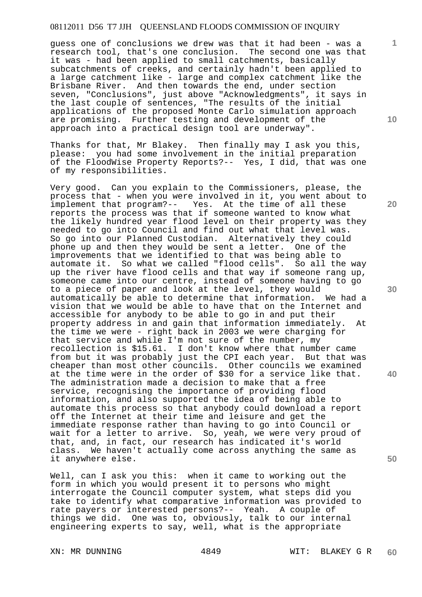guess one of conclusions we drew was that it had been - was a research tool, that's one conclusion. The second one was that it was - had been applied to small catchments, basically subcatchments of creeks, and certainly hadn't been applied to a large catchment like - large and complex catchment like the Brisbane River. And then towards the end, under section seven, "Conclusions", just above "Acknowledgments", it says in the last couple of sentences, "The results of the initial applications of the proposed Monte Carlo simulation approach are promising. Further testing and development of the approach into a practical design tool are underway".

Thanks for that, Mr Blakey. Then finally may I ask you this, please: you had some involvement in the initial preparation of the FloodWise Property Reports?-- Yes, I did, that was one of my responsibilities.

Very good. Can you explain to the Commissioners, please, the process that - when you were involved in it, you went about to implement that program?-- Yes. At the time of all these Yes. At the time of all these reports the process was that if someone wanted to know what the likely hundred year flood level on their property was they needed to go into Council and find out what that level was. So go into our Planned Custodian. Alternatively they could phone up and then they would be sent a letter. One of the improvements that we identified to that was being able to automate it. So what we called "flood cells". So all the way up the river have flood cells and that way if someone rang up, someone came into our centre, instead of someone having to go to a piece of paper and look at the level, they would automatically be able to determine that information. We had a vision that we would be able to have that on the Internet and accessible for anybody to be able to go in and put their property address in and gain that information immediately. At the time we were - right back in 2003 we were charging for that service and while I'm not sure of the number, my recollection is \$15.61. I don't know where that number came from but it was probably just the CPI each year. But that was cheaper than most other councils. Other councils we examined at the time were in the order of \$30 for a service like that. The administration made a decision to make that a free service, recognising the importance of providing flood information, and also supported the idea of being able to automate this process so that anybody could download a report off the Internet at their time and leisure and get the immediate response rather than having to go into Council or wait for a letter to arrive. So, yeah, we were very proud of that, and, in fact, our research has indicated it's world class. We haven't actually come across anything the same as it anywhere else.

Well, can I ask you this: when it came to working out the form in which you would present it to persons who might interrogate the Council computer system, what steps did you take to identify what comparative information was provided to rate payers or interested persons?-- Yeah. A couple of things we did. One was to, obviously, talk to our internal engineering experts to say, well, what is the appropriate

**10** 

**1**

**30** 

**40**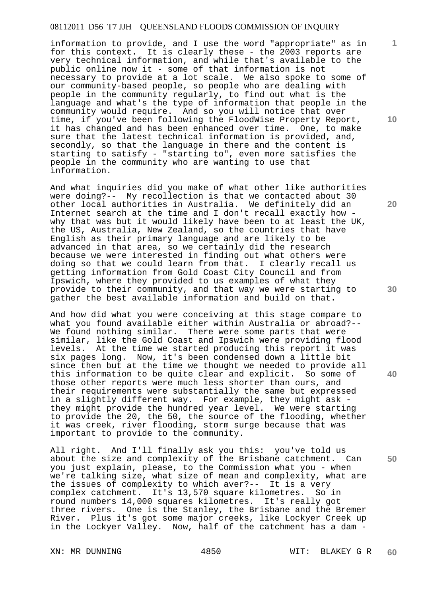information to provide, and I use the word "appropriate" as in for this context. It is clearly these - the 2003 reports are very technical information, and while that's available to the public online now it - some of that information is not necessary to provide at a lot scale. We also spoke to some of our community-based people, so people who are dealing with people in the community regularly, to find out what is the language and what's the type of information that people in the community would require. And so you will notice that over time, if you've been following the FloodWise Property Report, it has changed and has been enhanced over time. One, to make sure that the latest technical information is provided, and, secondly, so that the language in there and the content is starting to satisfy - "starting to", even more satisfies the people in the community who are wanting to use that information.

And what inquiries did you make of what other like authorities were doing?-- My recollection is that we contacted about 30 other local authorities in Australia. We definitely did an Internet search at the time and I don't recall exactly how why that was but it would likely have been to at least the UK, the US, Australia, New Zealand, so the countries that have English as their primary language and are likely to be advanced in that area, so we certainly did the research because we were interested in finding out what others were doing so that we could learn from that. I clearly recall us getting information from Gold Coast City Council and from Ipswich, where they provided to us examples of what they provide to their community, and that way we were starting to gather the best available information and build on that.

And how did what you were conceiving at this stage compare to what you found available either within Australia or abroad?-- We found nothing similar. There were some parts that were similar, like the Gold Coast and Ipswich were providing flood levels. At the time we started producing this report it was six pages long. Now, it's been condensed down a little bit since then but at the time we thought we needed to provide all this information to be quite clear and explicit. So some of those other reports were much less shorter than ours, and their requirements were substantially the same but expressed in a slightly different way. For example, they might ask they might provide the hundred year level. We were starting to provide the 20, the 50, the source of the flooding, whether it was creek, river flooding, storm surge because that was important to provide to the community.

All right. And I'll finally ask you this: you've told us about the size and complexity of the Brisbane catchment. Can you just explain, please, to the Commission what you - when we're talking size, what size of mean and complexity, what are the issues of complexity to which aver?-- It is a very complex catchment. It's 13,570 square kilometres. So in round numbers 14,000 squares kilometres. It's really got three rivers. One is the Stanley, the Brisbane and the Bremer River. Plus it's got some major creeks, like Lockyer Creek up in the Lockyer Valley. Now, half of the catchment has a dam -

**10** 

**1**

**20** 

**30** 

**40**